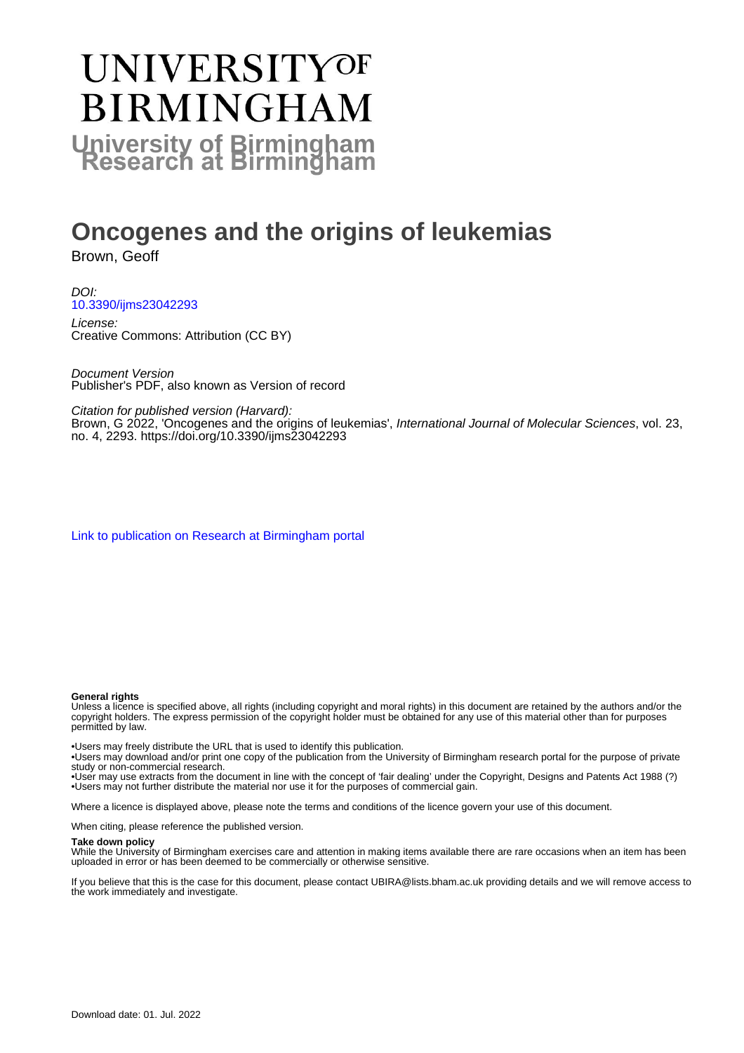# **UNIVERSITYOF BIRMINGHAM University of Birmingham**

## **Oncogenes and the origins of leukemias**

Brown, Geoff

DOI: [10.3390/ijms23042293](https://doi.org/10.3390/ijms23042293)

License: Creative Commons: Attribution (CC BY)

Document Version Publisher's PDF, also known as Version of record

Citation for published version (Harvard):

Brown, G 2022, 'Oncogenes and the origins of leukemias', International Journal of Molecular Sciences, vol. 23, no. 4, 2293. <https://doi.org/10.3390/ijms23042293>

[Link to publication on Research at Birmingham portal](https://birmingham.elsevierpure.com/en/publications/b143a900-25f2-4ade-8370-1644ec6d9b9a)

#### **General rights**

Unless a licence is specified above, all rights (including copyright and moral rights) in this document are retained by the authors and/or the copyright holders. The express permission of the copyright holder must be obtained for any use of this material other than for purposes permitted by law.

• Users may freely distribute the URL that is used to identify this publication.

• Users may download and/or print one copy of the publication from the University of Birmingham research portal for the purpose of private study or non-commercial research.

• User may use extracts from the document in line with the concept of 'fair dealing' under the Copyright, Designs and Patents Act 1988 (?) • Users may not further distribute the material nor use it for the purposes of commercial gain.

Where a licence is displayed above, please note the terms and conditions of the licence govern your use of this document.

When citing, please reference the published version.

#### **Take down policy**

While the University of Birmingham exercises care and attention in making items available there are rare occasions when an item has been uploaded in error or has been deemed to be commercially or otherwise sensitive.

If you believe that this is the case for this document, please contact UBIRA@lists.bham.ac.uk providing details and we will remove access to the work immediately and investigate.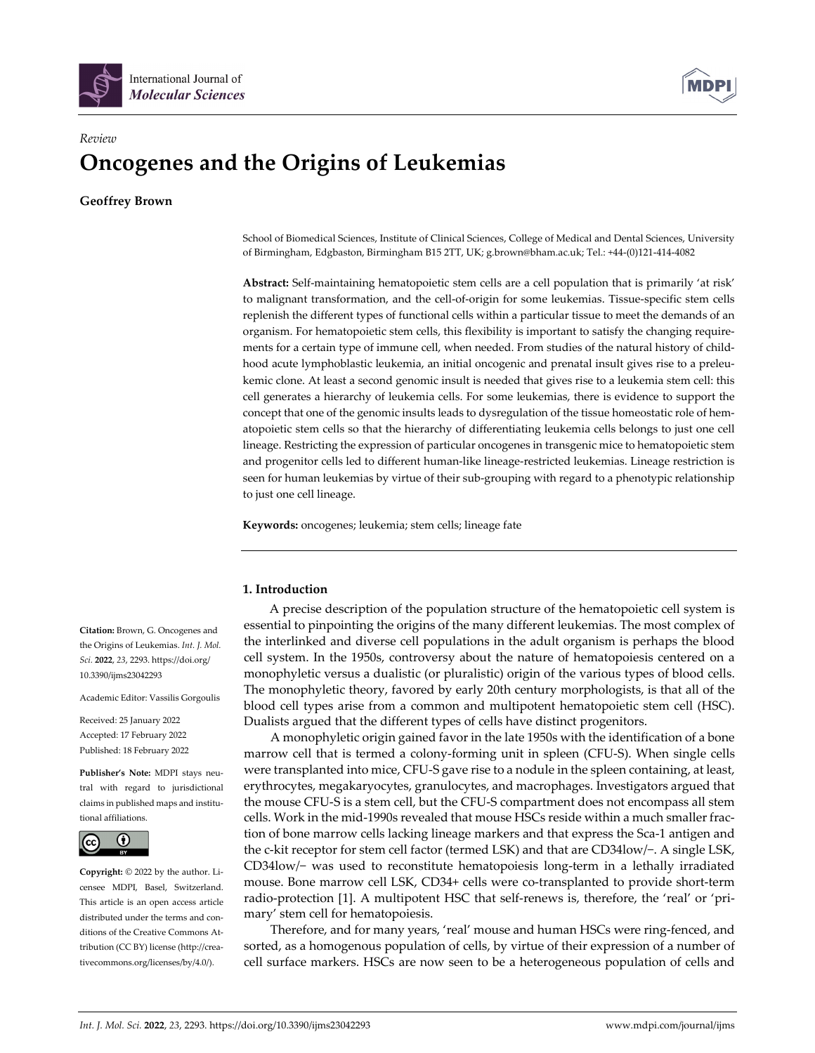



### *Review* **Oncogenes and the Origins of Leukemias**

**Geoffrey Brown**

School of Biomedical Sciences, Institute of Clinical Sciences, College of Medical and Dental Sciences, University of Birmingham, Edgbaston, Birmingham B15 2TT, UK; g.brown@bham.ac.uk; Tel.: +44‐(0)121‐414‐4082

**Abstract:** Self‐maintaining hematopoietic stem cells are a cell population that is primarily 'at risk' to malignant transformation, and the cell‐of‐origin for some leukemias. Tissue‐specific stem cells replenish the different types of functional cells within a particular tissue to meet the demands of an organism. For hematopoietic stem cells, this flexibility is important to satisfy the changing require‐ ments for a certain type of immune cell, when needed. From studies of the natural history of childhood acute lymphoblastic leukemia, an initial oncogenic and prenatal insult gives rise to a preleukemic clone. At least a second genomic insult is needed that gives rise to a leukemia stem cell: this cell generates a hierarchy of leukemia cells. For some leukemias, there is evidence to support the concept that one of the genomic insults leads to dysregulation of the tissue homeostatic role of hematopoietic stem cells so that the hierarchy of differentiating leukemia cells belongs to just one cell lineage. Restricting the expression of particular oncogenes in transgenic mice to hematopoietic stem and progenitor cells led to different human-like lineage-restricted leukemias. Lineage restriction is seen for human leukemias by virtue of their sub-grouping with regard to a phenotypic relationship to just one cell lineage.

**Keywords:** oncogenes; leukemia; stem cells; lineage fate

#### **1. Introduction**

A precise description of the population structure of the hematopoietic cell system is essential to pinpointing the origins of the many different leukemias. The most complex of the interlinked and diverse cell populations in the adult organism is perhaps the blood cell system. In the 1950s, controversy about the nature of hematopoiesis centered on a monophyletic versus a dualistic (or pluralistic) origin of the various types of blood cells. The monophyletic theory, favored by early 20th century morphologists, is that all of the blood cell types arise from a common and multipotent hematopoietic stem cell (HSC). Dualists argued that the different types of cells have distinct progenitors.

A monophyletic origin gained favor in the late 1950s with the identification of a bone marrow cell that is termed a colony‐forming unit in spleen (CFU‐S). When single cells were transplanted into mice, CFU‐S gave rise to a nodule in the spleen containing, at least, erythrocytes, megakaryocytes, granulocytes, and macrophages. Investigators argued that the mouse CFU‐S is a stem cell, but the CFU‐S compartment does not encompass all stem cells. Work in the mid-1990s revealed that mouse HSCs reside within a much smaller fraction of bone marrow cells lacking lineage markers and that express the Sca-1 antigen and the c‐kit receptor for stem cell factor (termed LSK) and that are CD34low/−. A single LSK, CD34low/− was used to reconstitute hematopoiesis long‐term in a lethally irradiated mouse. Bone marrow cell LSK, CD34+ cells were co-transplanted to provide short-term radio-protection [1]. A multipotent HSC that self-renews is, therefore, the 'real' or 'primary' stem cell for hematopoiesis.

Therefore, and for many years, 'real' mouse and human HSCs were ring-fenced, and sorted, as a homogenous population of cells, by virtue of their expression of a number of cell surface markers. HSCs are now seen to be a heterogeneous population of cells and

**Citation:** Brown, G. Oncogenes and the Origins of Leukemias. *Int. J. Mol. Sci.* **2022**, *23*, 2293. https://doi.org/ 10.3390/ijms23042293

Academic Editor: Vassilis Gorgoulis

Received: 25 January 2022 Accepted: 17 February 2022 Published: 18 February 2022

**Publisher's Note:** MDPI stays neu‐ tral with regard to jurisdictional claims in published maps and institu‐ tional affiliations.



**Copyright:** © 2022 by the author. Li‐ censee MDPI, Basel, Switzerland. This article is an open access article distributed under the terms and conditions of the Creative Commons At‐ tribution (CC BY) license (http://crea‐ tivecommons.org/licenses/by/4.0/).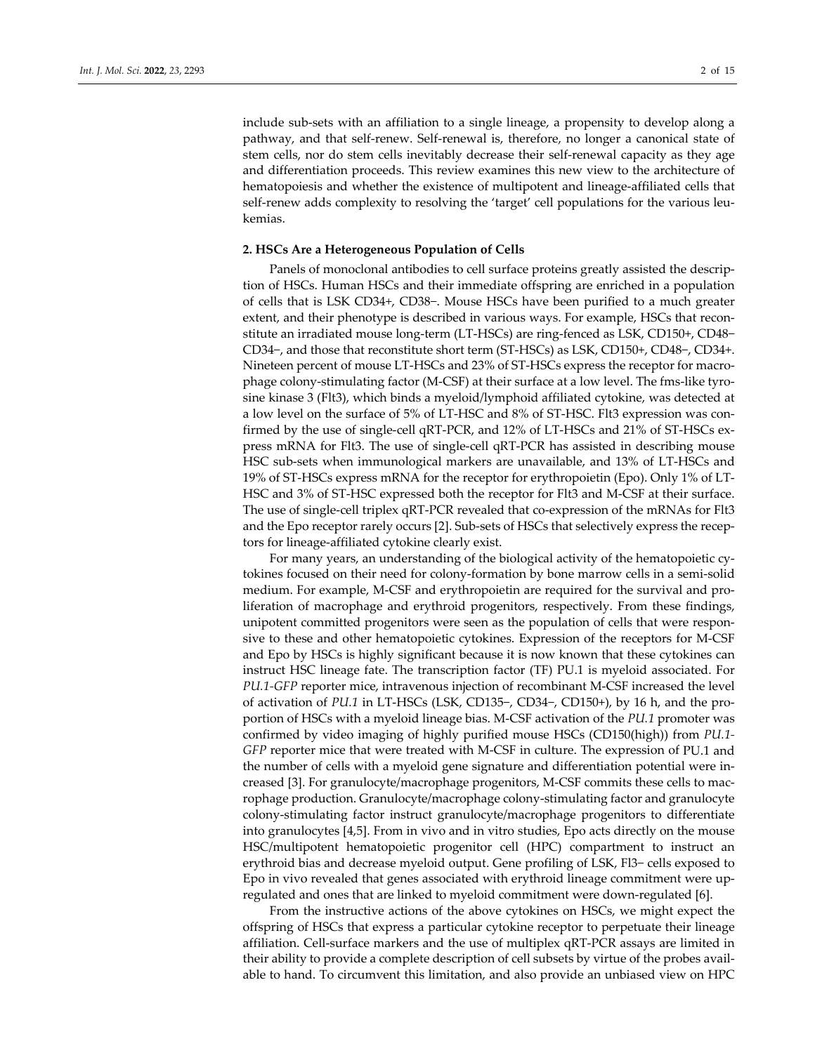include sub‐sets with an affiliation to a single lineage, a propensity to develop along a pathway, and that self-renew. Self-renewal is, therefore, no longer a canonical state of stem cells, nor do stem cells inevitably decrease their self-renewal capacity as they age and differentiation proceeds. This review examines this new view to the architecture of hematopoiesis and whether the existence of multipotent and lineage‐affiliated cells that self-renew adds complexity to resolving the 'target' cell populations for the various leukemias.

#### **2. HSCs Are a Heterogeneous Population of Cells**

Panels of monoclonal antibodies to cell surface proteins greatly assisted the descrip‐ tion of HSCs. Human HSCs and their immediate offspring are enriched in a population of cells that is LSK CD34+, CD38−. Mouse HSCs have been purified to a much greater extent, and their phenotype is described in various ways. For example, HSCs that reconstitute an irradiated mouse long‐term (LT‐HSCs) are ring‐fenced as LSK, CD150+, CD48− CD34−, and those that reconstitute short term (ST‐HSCs) as LSK, CD150+, CD48−, CD34+. Nineteen percent of mouse LT-HSCs and 23% of ST-HSCs express the receptor for macrophage colony‐stimulating factor (M‐CSF) at their surface at a low level. The fms‐like tyro‐ sine kinase 3 (Flt3), which binds a myeloid/lymphoid affiliated cytokine, was detected at a low level on the surface of 5% of LT‐HSC and 8% of ST‐HSC. Flt3 expression was con‐ firmed by the use of single‐cell qRT‐PCR, and 12% of LT‐HSCs and 21% of ST‐HSCs ex‐ press mRNA for Flt3. The use of single‐cell qRT‐PCR has assisted in describing mouse HSC sub‐sets when immunological markers are unavailable, and 13% of LT‐HSCs and 19% of ST‐HSCs express mRNA for the receptor for erythropoietin (Epo). Only 1% of LT‐ HSC and 3% of ST‐HSC expressed both the receptor for Flt3 and M‐CSF at their surface. The use of single-cell triplex qRT-PCR revealed that co-expression of the mRNAs for Flt3 and the Epo receptor rarely occurs [2]. Sub-sets of HSCs that selectively express the receptors for lineage‐affiliated cytokine clearly exist.

For many years, an understanding of the biological activity of the hematopoietic cytokines focused on their need for colony‐formation by bone marrow cells in a semi‐solid medium. For example, M-CSF and erythropoietin are required for the survival and proliferation of macrophage and erythroid progenitors, respectively. From these findings, unipotent committed progenitors were seen as the population of cells that were responsive to these and other hematopoietic cytokines. Expression of the receptors for M‐CSF and Epo by HSCs is highly significant because it is now known that these cytokines can instruct HSC lineage fate. The transcription factor (TF) PU.1 is myeloid associated. For *PU.1‐GFP* reporter mice, intravenous injection of recombinant M‐CSF increased the level of activation of *PU.1* in LT‐HSCs (LSK, CD135−, CD34−, CD150+), by 16 h, and the pro‐ portion of HSCs with a myeloid lineage bias. M‐CSF activation of the *PU.1* promoter was confirmed by video imaging of highly purified mouse HSCs (CD150(high)) from *PU.1‐ GFP* reporter mice that were treated with M‐CSF in culture. The expression of PU.1 and the number of cells with a myeloid gene signature and differentiation potential were in‐ creased [3]. For granulocyte/macrophage progenitors, M‐CSF commits these cells to mac‐ rophage production. Granulocyte/macrophage colony‐stimulating factor and granulocyte colony‐stimulating factor instruct granulocyte/macrophage progenitors to differentiate into granulocytes [4,5]. From in vivo and in vitro studies, Epo acts directly on the mouse HSC/multipotent hematopoietic progenitor cell (HPC) compartment to instruct an erythroid bias and decrease myeloid output. Gene profiling of LSK, Fl3− cells exposed to Epo in vivo revealed that genes associated with erythroid lineage commitment were up‐ regulated and ones that are linked to myeloid commitment were down‐regulated [6].

From the instructive actions of the above cytokines on HSCs, we might expect the offspring of HSCs that express a particular cytokine receptor to perpetuate their lineage affiliation. Cell‐surface markers and the use of multiplex qRT‐PCR assays are limited in their ability to provide a complete description of cell subsets by virtue of the probes avail‐ able to hand. To circumvent this limitation, and also provide an unbiased view on HPC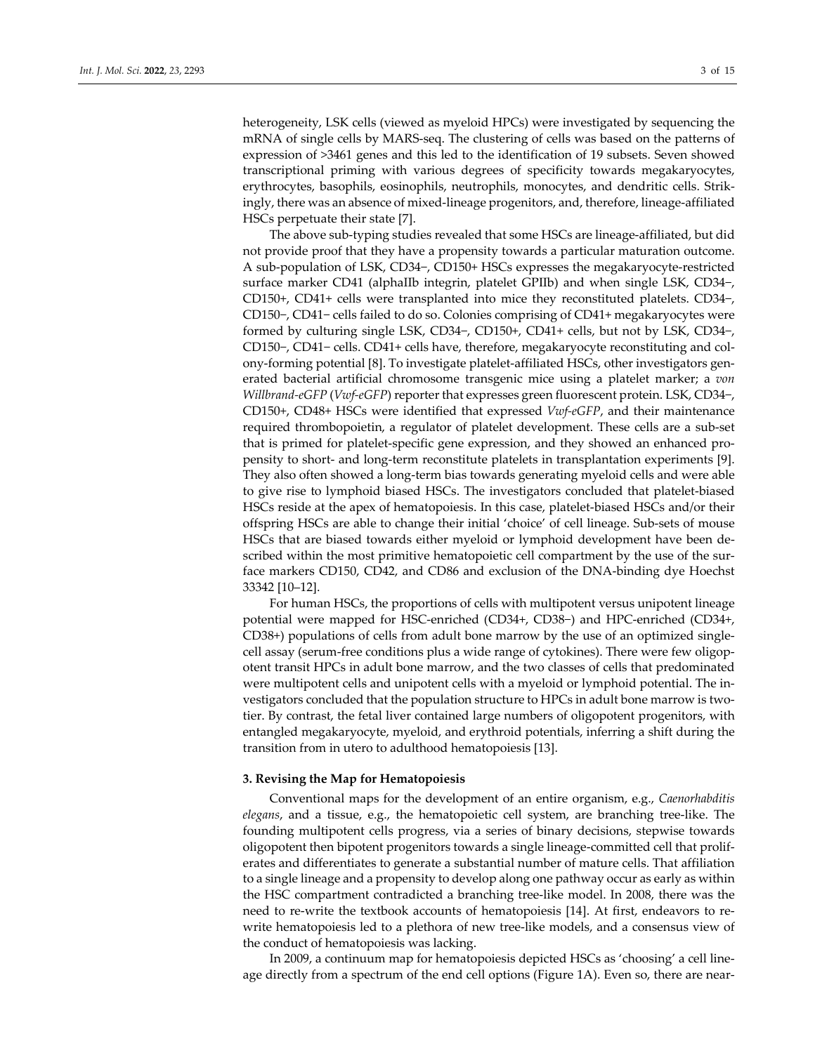heterogeneity, LSK cells (viewed as myeloid HPCs) were investigated by sequencing the mRNA of single cells by MARS‐seq. The clustering of cells was based on the patterns of expression of >3461 genes and this led to the identification of 19 subsets. Seven showed transcriptional priming with various degrees of specificity towards megakaryocytes, erythrocytes, basophils, eosinophils, neutrophils, monocytes, and dendritic cells. Strik‐ ingly, there was an absence of mixed-lineage progenitors, and, therefore, lineage-affiliated HSCs perpetuate their state [7].

The above sub‐typing studies revealed that some HSCs are lineage‐affiliated, but did not provide proof that they have a propensity towards a particular maturation outcome. A sub‐population of LSK, CD34−, CD150+ HSCs expresses the megakaryocyte‐restricted surface marker CD41 (alphaIIb integrin, platelet GPIIb) and when single LSK, CD34−, CD150+, CD41+ cells were transplanted into mice they reconstituted platelets. CD34−, CD150−, CD41− cells failed to do so. Colonies comprising of CD41+ megakaryocytes were formed by culturing single LSK, CD34−, CD150+, CD41+ cells, but not by LSK, CD34−, CD150−, CD41− cells. CD41+ cells have, therefore, megakaryocyte reconstituting and col‐ ony‐forming potential [8]. To investigate platelet‐affiliated HSCs, other investigators gen‐ erated bacterial artificial chromosome transgenic mice using a platelet marker; a *von Willbrand‐eGFP* (*Vwf‐eGFP*) reporter that expresses green fluorescent protein. LSK, CD34−, CD150+, CD48+ HSCs were identified that expressed *Vwf‐eGFP*, and their maintenance required thrombopoietin, a regulator of platelet development. These cells are a sub‐set that is primed for platelet‐specific gene expression, and they showed an enhanced pro‐ pensity to short- and long-term reconstitute platelets in transplantation experiments [9]. They also often showed a long‐term bias towards generating myeloid cells and were able to give rise to lymphoid biased HSCs. The investigators concluded that platelet‐biased HSCs reside at the apex of hematopoiesis. In this case, platelet‐biased HSCs and/or their offspring HSCs are able to change their initial 'choice' of cell lineage. Sub‐sets of mouse HSCs that are biased towards either myeloid or lymphoid development have been de‐ scribed within the most primitive hematopoietic cell compartment by the use of the surface markers CD150, CD42, and CD86 and exclusion of the DNA‐binding dye Hoechst 33342 [10–12].

For human HSCs, the proportions of cells with multipotent versus unipotent lineage potential were mapped for HSC‐enriched (CD34+, CD38−) and HPC‐enriched (CD34+, CD38+) populations of cells from adult bone marrow by the use of an optimized single‐ cell assay (serum‐free conditions plus a wide range of cytokines). There were few oligop‐ otent transit HPCs in adult bone marrow, and the two classes of cells that predominated were multipotent cells and unipotent cells with a myeloid or lymphoid potential. The investigators concluded that the population structure to HPCs in adult bone marrow is twotier. By contrast, the fetal liver contained large numbers of oligopotent progenitors, with entangled megakaryocyte, myeloid, and erythroid potentials, inferring a shift during the transition from in utero to adulthood hematopoiesis [13].

#### **3. Revising the Map for Hematopoiesis**

Conventional maps for the development of an entire organism, e.g., *Caenorhabditis elegans*, and a tissue, e.g., the hematopoietic cell system, are branching tree‐like. The founding multipotent cells progress, via a series of binary decisions, stepwise towards oligopotent then bipotent progenitors towards a single lineage‐committed cell that prolif‐ erates and differentiates to generate a substantial number of mature cells. That affiliation to a single lineage and a propensity to develop along one pathway occur as early as within the HSC compartment contradicted a branching tree‐like model. In 2008, there was the need to re-write the textbook accounts of hematopoiesis [14]. At first, endeavors to rewrite hematopoiesis led to a plethora of new tree‐like models, and a consensus view of the conduct of hematopoiesis was lacking.

In 2009, a continuum map for hematopoiesis depicted HSCs as 'choosing' a cell line‐ age directly from a spectrum of the end cell options (Figure 1A). Even so, there are near‐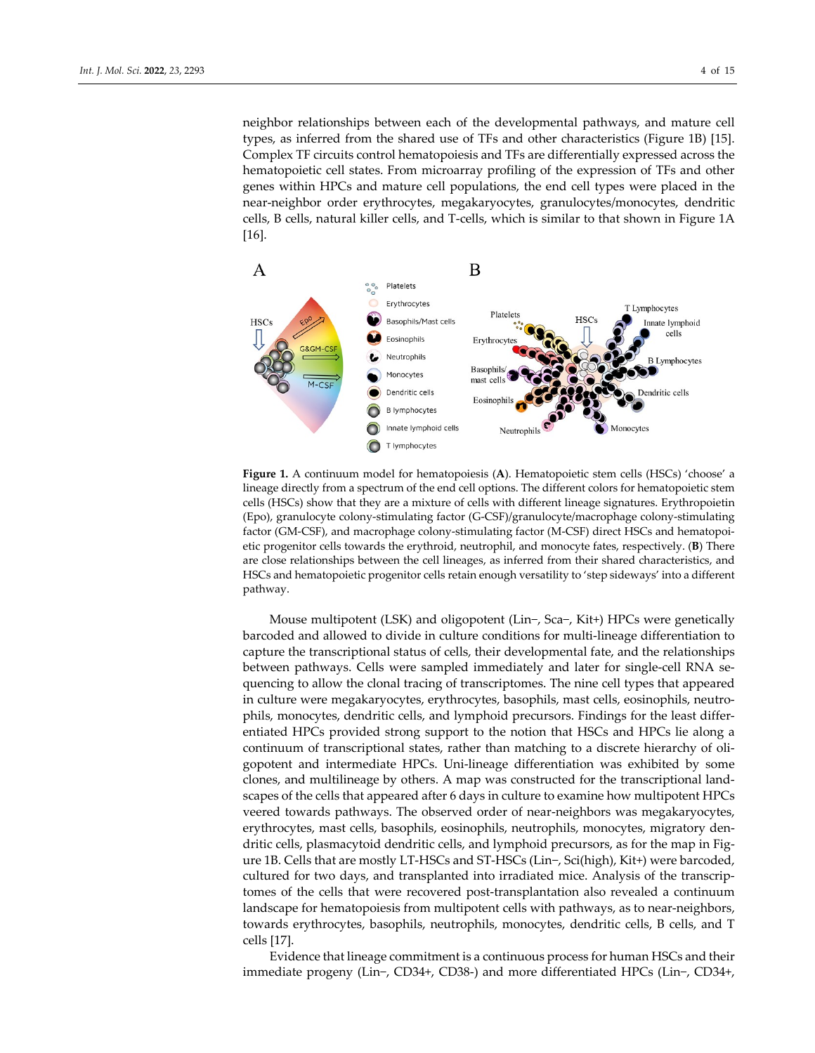neighbor relationships between each of the developmental pathways, and mature cell types, as inferred from the shared use of TFs and other characteristics (Figure 1B) [15]. Complex TF circuits control hematopoiesis and TFs are differentially expressed across the hematopoietic cell states. From microarray profiling of the expression of TFs and other genes within HPCs and mature cell populations, the end cell types were placed in the near‐neighbor order erythrocytes, megakaryocytes, granulocytes/monocytes, dendritic cells, B cells, natural killer cells, and T‐cells, which is similar to that shown in Figure 1A [16].



**Figure 1.** A continuum model for hematopoiesis (**A**). Hematopoietic stem cells (HSCs) 'choose' a lineage directly from a spectrum of the end cell options. The different colors for hematopoietic stem cells (HSCs) show that they are a mixture of cells with different lineage signatures. Erythropoietin (Epo), granulocyte colony‐stimulating factor (G‐CSF)/granulocyte/macrophage colony‐stimulating factor (GM‐CSF), and macrophage colony‐stimulating factor (M‐CSF) direct HSCs and hematopoi‐ etic progenitor cells towards the erythroid, neutrophil, and monocyte fates, respectively. (**B**) There are close relationships between the cell lineages, as inferred from their shared characteristics, and HSCs and hematopoietic progenitor cells retain enough versatility to 'step sideways' into a different pathway.

Mouse multipotent (LSK) and oligopotent (Lin−, Sca−, Kit+) HPCs were genetically barcoded and allowed to divide in culture conditions for multi‐lineage differentiation to capture the transcriptional status of cells, their developmental fate, and the relationships between pathways. Cells were sampled immediately and later for single-cell RNA sequencing to allow the clonal tracing of transcriptomes. The nine cell types that appeared in culture were megakaryocytes, erythrocytes, basophils, mast cells, eosinophils, neutro‐ phils, monocytes, dendritic cells, and lymphoid precursors. Findings for the least differ‐ entiated HPCs provided strong support to the notion that HSCs and HPCs lie along a continuum of transcriptional states, rather than matching to a discrete hierarchy of oli‐ gopotent and intermediate HPCs. Uni‐lineage differentiation was exhibited by some clones, and multilineage by others. A map was constructed for the transcriptional land‐ scapes of the cells that appeared after 6 days in culture to examine how multipotent HPCs veered towards pathways. The observed order of near-neighbors was megakaryocytes, erythrocytes, mast cells, basophils, eosinophils, neutrophils, monocytes, migratory den‐ dritic cells, plasmacytoid dendritic cells, and lymphoid precursors, as for the map in Fig‐ ure 1B. Cells that are mostly LT‐HSCs and ST‐HSCs (Lin−, Sci(high), Kit+) were barcoded, cultured for two days, and transplanted into irradiated mice. Analysis of the transcrip‐ tomes of the cells that were recovered post-transplantation also revealed a continuum landscape for hematopoiesis from multipotent cells with pathways, as to near-neighbors, towards erythrocytes, basophils, neutrophils, monocytes, dendritic cells, B cells, and T cells [17].

Evidence that lineage commitment is a continuous process for human HSCs and their immediate progeny (Lin−, CD34+, CD38‐) and more differentiated HPCs (Lin−, CD34+,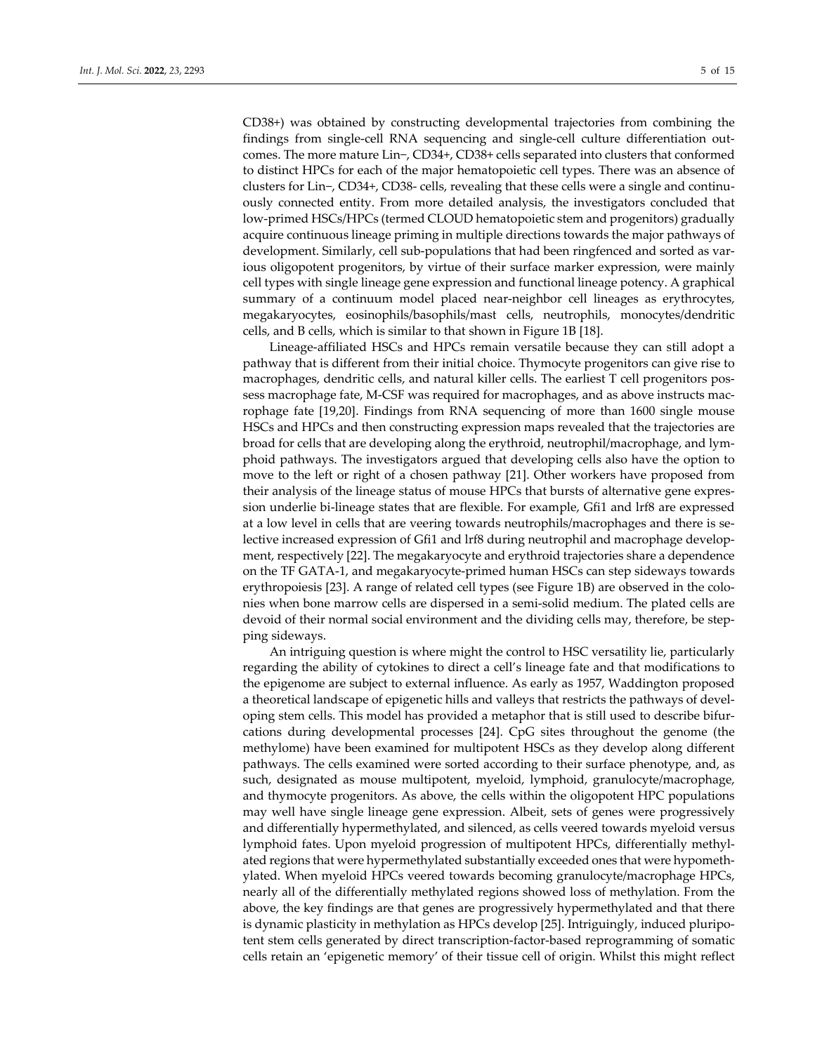CD38+) was obtained by constructing developmental trajectories from combining the findings from single‐cell RNA sequencing and single‐cell culture differentiation out‐ comes. The more mature Lin−, CD34+, CD38+ cells separated into clusters that conformed to distinct HPCs for each of the major hematopoietic cell types. There was an absence of clusters for Lin−, CD34+, CD38‐ cells, revealing that these cells were a single and continu‐ ously connected entity. From more detailed analysis, the investigators concluded that low‐primed HSCs/HPCs (termed CLOUD hematopoietic stem and progenitors) gradually acquire continuous lineage priming in multiple directions towards the major pathways of development. Similarly, cell sub‐populations that had been ringfenced and sorted as var‐ ious oligopotent progenitors, by virtue of their surface marker expression, were mainly cell types with single lineage gene expression and functional lineage potency. A graphical summary of a continuum model placed near-neighbor cell lineages as erythrocytes, megakaryocytes, eosinophils/basophils/mast cells, neutrophils, monocytes/dendritic cells, and B cells, which is similar to that shown in Figure 1B [18].

Lineage‐affiliated HSCs and HPCs remain versatile because they can still adopt a pathway that is different from their initial choice. Thymocyte progenitors can give rise to macrophages, dendritic cells, and natural killer cells. The earliest T cell progenitors pos‐ sess macrophage fate, M‐CSF was required for macrophages, and as above instructs mac‐ rophage fate [19,20]. Findings from RNA sequencing of more than 1600 single mouse HSCs and HPCs and then constructing expression maps revealed that the trajectories are broad for cells that are developing along the erythroid, neutrophil/macrophage, and lym‐ phoid pathways. The investigators argued that developing cells also have the option to move to the left or right of a chosen pathway [21]. Other workers have proposed from their analysis of the lineage status of mouse HPCs that bursts of alternative gene expres‐ sion underlie bi‐lineage states that are flexible. For example, Gfi1 and lrf8 are expressed at a low level in cells that are veering towards neutrophils/macrophages and there is se‐ lective increased expression of Gfi1 and lrf8 during neutrophil and macrophage develop‐ ment, respectively [22]. The megakaryocyte and erythroid trajectories share a dependence on the TF GATA‐1, and megakaryocyte‐primed human HSCs can step sideways towards erythropoiesis [23]. A range of related cell types (see Figure 1B) are observed in the colonies when bone marrow cells are dispersed in a semi‐solid medium. The plated cells are devoid of their normal social environment and the dividing cells may, therefore, be stepping sideways.

An intriguing question is where might the control to HSC versatility lie, particularly regarding the ability of cytokines to direct a cell's lineage fate and that modifications to the epigenome are subject to external influence. As early as 1957, Waddington proposed a theoretical landscape of epigenetic hills and valleys that restricts the pathways of devel‐ oping stem cells. This model has provided a metaphor that is still used to describe bifur‐ cations during developmental processes [24]. CpG sites throughout the genome (the methylome) have been examined for multipotent HSCs as they develop along different pathways. The cells examined were sorted according to their surface phenotype, and, as such, designated as mouse multipotent, myeloid, lymphoid, granulocyte/macrophage, and thymocyte progenitors. As above, the cells within the oligopotent HPC populations may well have single lineage gene expression. Albeit, sets of genes were progressively and differentially hypermethylated, and silenced, as cells veered towards myeloid versus lymphoid fates. Upon myeloid progression of multipotent HPCs, differentially methyl‐ ated regions that were hypermethylated substantially exceeded ones that were hypometh‐ ylated. When myeloid HPCs veered towards becoming granulocyte/macrophage HPCs, nearly all of the differentially methylated regions showed loss of methylation. From the above, the key findings are that genes are progressively hypermethylated and that there is dynamic plasticity in methylation as HPCs develop [25]. Intriguingly, induced pluripo‐ tent stem cells generated by direct transcription‐factor‐based reprogramming of somatic cells retain an 'epigenetic memory' of their tissue cell of origin. Whilst this might reflect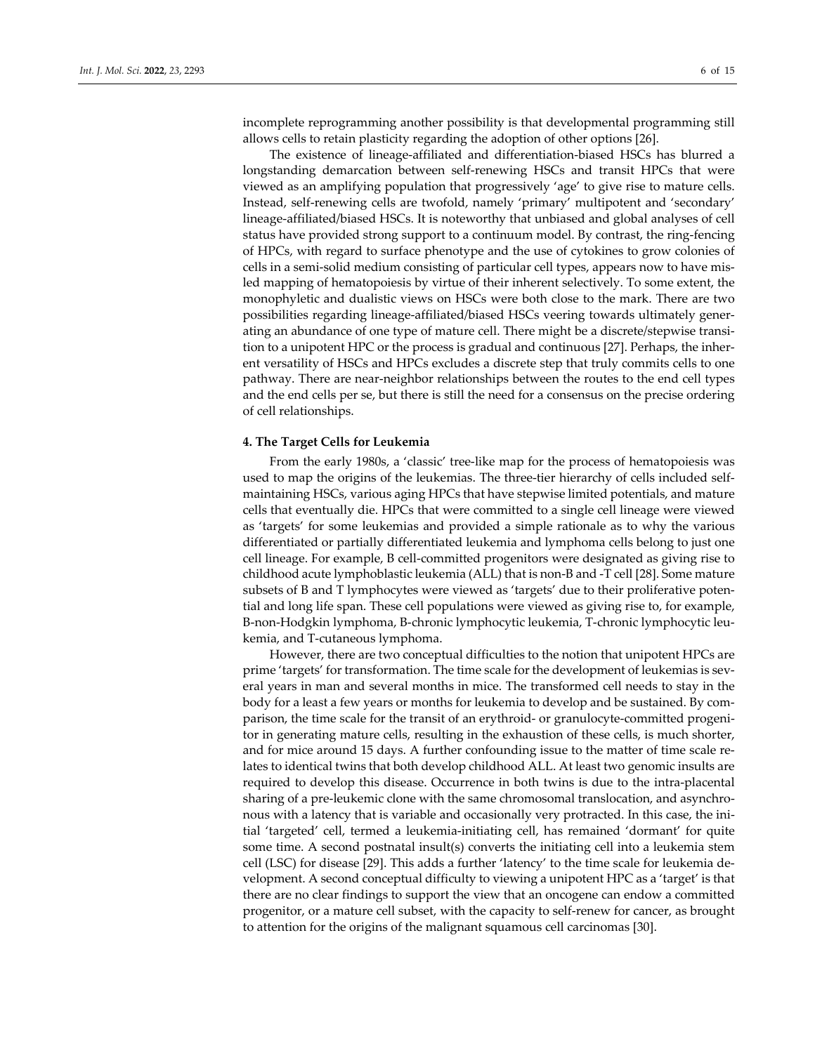incomplete reprogramming another possibility is that developmental programming still allows cells to retain plasticity regarding the adoption of other options [26].

The existence of lineage‐affiliated and differentiation‐biased HSCs has blurred a longstanding demarcation between self‐renewing HSCs and transit HPCs that were viewed as an amplifying population that progressively 'age' to give rise to mature cells. Instead, self-renewing cells are twofold, namely 'primary' multipotent and 'secondary' lineage‐affiliated/biased HSCs. It is noteworthy that unbiased and global analyses of cell status have provided strong support to a continuum model. By contrast, the ring‐fencing of HPCs, with regard to surface phenotype and the use of cytokines to grow colonies of cells in a semi‐solid medium consisting of particular cell types, appears now to have mis‐ led mapping of hematopoiesis by virtue of their inherent selectively. To some extent, the monophyletic and dualistic views on HSCs were both close to the mark. There are two possibilities regarding lineage‐affiliated/biased HSCs veering towards ultimately gener‐ ating an abundance of one type of mature cell. There might be a discrete/stepwise transition to a unipotent HPC or the process is gradual and continuous [27]. Perhaps, the inher‐ ent versatility of HSCs and HPCs excludes a discrete step that truly commits cells to one pathway. There are near-neighbor relationships between the routes to the end cell types and the end cells per se, but there is still the need for a consensus on the precise ordering of cell relationships.

#### **4. The Target Cells for Leukemia**

From the early 1980s, a 'classic' tree‐like map for the process of hematopoiesis was used to map the origins of the leukemias. The three-tier hierarchy of cells included selfmaintaining HSCs, various aging HPCs that have stepwise limited potentials, and mature cells that eventually die. HPCs that were committed to a single cell lineage were viewed as 'targets' for some leukemias and provided a simple rationale as to why the various differentiated or partially differentiated leukemia and lymphoma cells belong to just one cell lineage. For example, B cell‐committed progenitors were designated as giving rise to childhood acute lymphoblastic leukemia (ALL) that is non‐B and ‐T cell [28]. Some mature subsets of B and T lymphocytes were viewed as 'targets' due to their proliferative potential and long life span. These cell populations were viewed as giving rise to, for example, B‐non‐Hodgkin lymphoma, B‐chronic lymphocytic leukemia, T‐chronic lymphocytic leu‐ kemia, and T‐cutaneous lymphoma.

However, there are two conceptual difficulties to the notion that unipotent HPCs are prime 'targets' for transformation. The time scale for the development of leukemias is several years in man and several months in mice. The transformed cell needs to stay in the body for a least a few years or months for leukemia to develop and be sustained. By comparison, the time scale for the transit of an erythroid‐ or granulocyte‐committed progeni‐ tor in generating mature cells, resulting in the exhaustion of these cells, is much shorter, and for mice around 15 days. A further confounding issue to the matter of time scale re‐ lates to identical twins that both develop childhood ALL. At least two genomic insults are required to develop this disease. Occurrence in both twins is due to the intra‐placental sharing of a pre-leukemic clone with the same chromosomal translocation, and asynchronous with a latency that is variable and occasionally very protracted. In this case, the ini‐ tial 'targeted' cell, termed a leukemia‐initiating cell, has remained 'dormant' for quite some time. A second postnatal insult(s) converts the initiating cell into a leukemia stem cell (LSC) for disease [29]. This adds a further 'latency' to the time scale for leukemia de‐ velopment. A second conceptual difficulty to viewing a unipotent HPC as a 'target' is that there are no clear findings to support the view that an oncogene can endow a committed progenitor, or a mature cell subset, with the capacity to self-renew for cancer, as brought to attention for the origins of the malignant squamous cell carcinomas [30].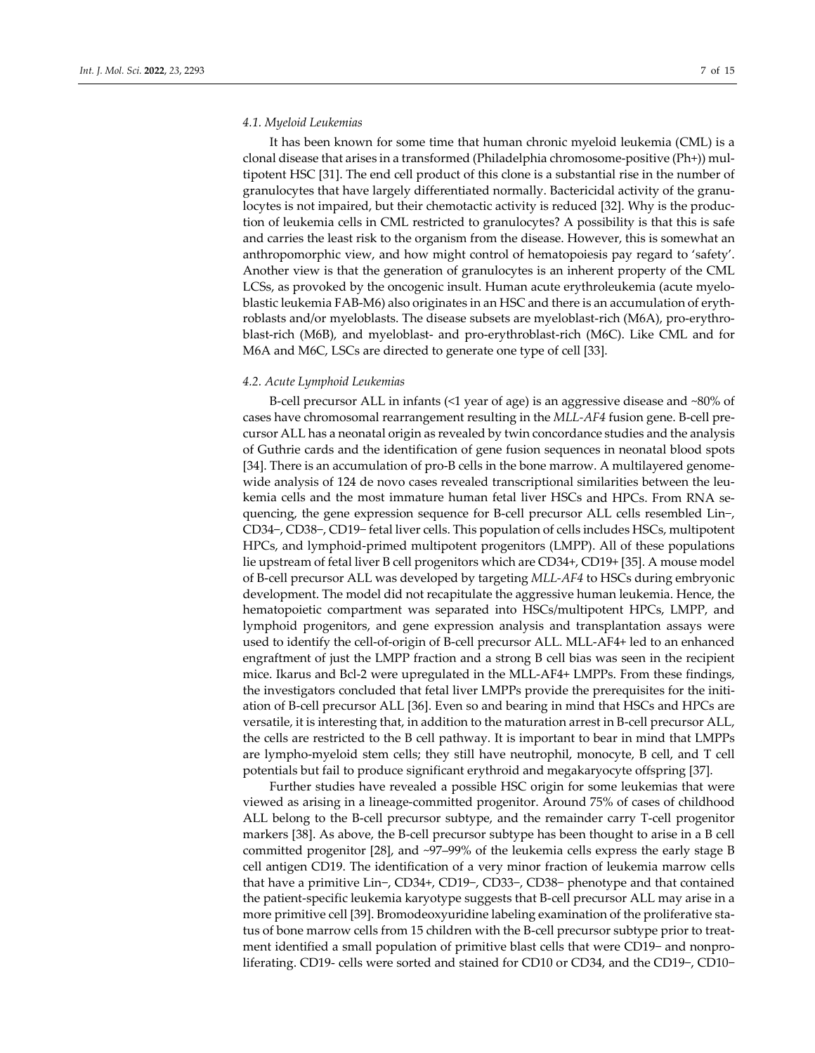#### *4.1. Myeloid Leukemias*

It has been known for some time that human chronic myeloid leukemia (CML) is a clonal disease that arises in a transformed (Philadelphia chromosome-positive (Ph+)) multipotent HSC [31]. The end cell product of this clone is a substantial rise in the number of granulocytes that have largely differentiated normally. Bactericidal activity of the granu‐ locytes is not impaired, but their chemotactic activity is reduced [32]. Why is the produc‐ tion of leukemia cells in CML restricted to granulocytes? A possibility is that this is safe and carries the least risk to the organism from the disease. However, this is somewhat an anthropomorphic view, and how might control of hematopoiesis pay regard to 'safety'. Another view is that the generation of granulocytes is an inherent property of the CML LCSs, as provoked by the oncogenic insult. Human acute erythroleukemia (acute myelo‐ blastic leukemia FAB‐M6) also originates in an HSC and there is an accumulation of eryth‐ roblasts and/or myeloblasts. The disease subsets are myeloblast‐rich (M6A), pro‐erythro‐ blast-rich (M6B), and myeloblast- and pro-erythroblast-rich (M6C). Like CML and for M6A and M6C, LSCs are directed to generate one type of cell [33].

#### *4.2. Acute Lymphoid Leukemias*

B‐cell precursor ALL in infants (<1 year of age) is an aggressive disease and ~80% of cases have chromosomal rearrangement resulting in the *MLL‐AF4* fusion gene. B‐cell pre‐ cursor ALL has a neonatal origin as revealed by twin concordance studies and the analysis of Guthrie cards and the identification of gene fusion sequences in neonatal blood spots [34]. There is an accumulation of pro-B cells in the bone marrow. A multilayered genomewide analysis of 124 de novo cases revealed transcriptional similarities between the leukemia cells and the most immature human fetal liver HSCs and HPCs. From RNA sequencing, the gene expression sequence for B‐cell precursor ALL cells resembled Lin−, CD34−, CD38−, CD19− fetal liver cells. This population of cells includes HSCs, multipotent HPCs, and lymphoid‐primed multipotent progenitors (LMPP). All of these populations lie upstream of fetal liver B cell progenitors which are CD34+, CD19+ [35]. A mouse model of B‐cell precursor ALL was developed by targeting *MLL‐AF4* to HSCs during embryonic development. The model did not recapitulate the aggressive human leukemia. Hence, the hematopoietic compartment was separated into HSCs/multipotent HPCs, LMPP, and lymphoid progenitors, and gene expression analysis and transplantation assays were used to identify the cell‐of‐origin of B‐cell precursor ALL. MLL‐AF4+ led to an enhanced engraftment of just the LMPP fraction and a strong B cell bias was seen in the recipient mice. Ikarus and Bcl-2 were upregulated in the MLL-AF4+ LMPPs. From these findings, the investigators concluded that fetal liver LMPPs provide the prerequisites for the initi‐ ation of B-cell precursor ALL [36]. Even so and bearing in mind that HSCs and HPCs are versatile, it is interesting that, in addition to the maturation arrest in B‐cell precursor ALL, the cells are restricted to the B cell pathway. It is important to bear in mind that LMPPs are lympho‐myeloid stem cells; they still have neutrophil, monocyte, B cell, and T cell potentials but fail to produce significant erythroid and megakaryocyte offspring [37].

Further studies have revealed a possible HSC origin for some leukemias that were viewed as arising in a lineage‐committed progenitor. Around 75% of cases of childhood ALL belong to the B-cell precursor subtype, and the remainder carry T-cell progenitor markers [38]. As above, the B-cell precursor subtype has been thought to arise in a B cell committed progenitor [28], and ~97–99% of the leukemia cells express the early stage B cell antigen CD19. The identification of a very minor fraction of leukemia marrow cells that have a primitive Lin−, CD34+, CD19−, CD33−, CD38− phenotype and that contained the patient‐specific leukemia karyotype suggests that B‐cell precursor ALL may arise in a more primitive cell [39]. Bromodeoxyuridine labeling examination of the proliferative status of bone marrow cells from 15 children with the B-cell precursor subtype prior to treatment identified a small population of primitive blast cells that were CD19− and nonpro‐ liferating. CD19‐ cells were sorted and stained for CD10 or CD34, and the CD19−, CD10−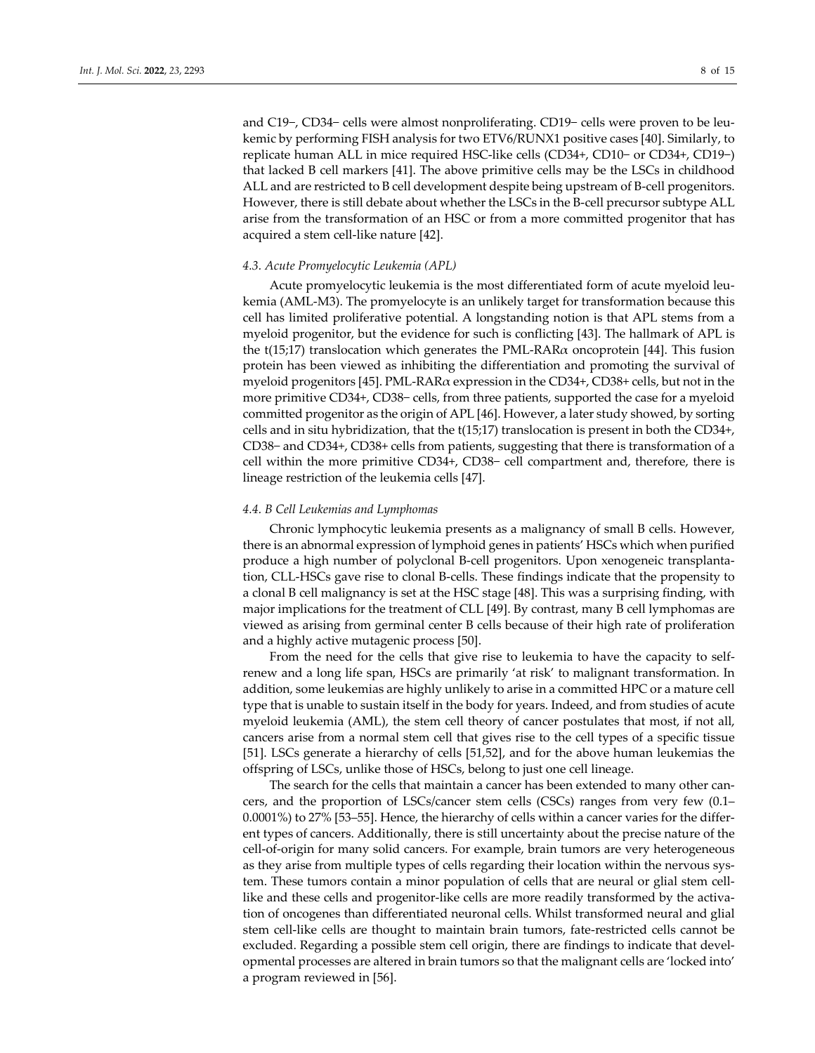and C19−, CD34− cells were almost nonproliferating. CD19− cells were proven to be leu‐ kemic by performing FISH analysis for two ETV6/RUNX1 positive cases [40]. Similarly, to replicate human ALL in mice required HSC‐like cells (CD34+, CD10− or CD34+, CD19−) that lacked B cell markers [41]. The above primitive cells may be the LSCs in childhood ALL and are restricted to B cell development despite being upstream of B‐cell progenitors. However, there is still debate about whether the LSCs in the B‐cell precursor subtype ALL arise from the transformation of an HSC or from a more committed progenitor that has acquired a stem cell‐like nature [42].

#### *4.3. Acute Promyelocytic Leukemia (APL)*

Acute promyelocytic leukemia is the most differentiated form of acute myeloid leukemia (AML‐M3). The promyelocyte is an unlikely target for transformation because this cell has limited proliferative potential. A longstanding notion is that APL stems from a myeloid progenitor, but the evidence for such is conflicting [43]. The hallmark of APL is the t(15;17) translocation which generates the PML-RAR $\alpha$  oncoprotein [44]. This fusion protein has been viewed as inhibiting the differentiation and promoting the survival of myeloid progenitors [45]. PML-RAR $\alpha$  expression in the CD34+, CD38+ cells, but not in the more primitive CD34+, CD38− cells, from three patients, supported the case for a myeloid committed progenitor as the origin of APL [46]. However, a later study showed, by sorting cells and in situ hybridization, that the t(15;17) translocation is present in both the CD34+, CD38− and CD34+, CD38+ cells from patients, suggesting that there is transformation of a cell within the more primitive CD34+, CD38− cell compartment and, therefore, there is lineage restriction of the leukemia cells [47].

#### *4.4. B Cell Leukemias and Lymphomas*

Chronic lymphocytic leukemia presents as a malignancy of small B cells. However, there is an abnormal expression of lymphoid genes in patients' HSCs which when purified produce a high number of polyclonal B-cell progenitors. Upon xenogeneic transplantation, CLL‐HSCs gave rise to clonal B‐cells. These findings indicate that the propensity to a clonal B cell malignancy is set at the HSC stage [48]. This was a surprising finding, with major implications for the treatment of CLL [49]. By contrast, many B cell lymphomas are viewed as arising from germinal center B cells because of their high rate of proliferation and a highly active mutagenic process [50].

From the need for the cells that give rise to leukemia to have the capacity to selfrenew and a long life span, HSCs are primarily 'at risk' to malignant transformation. In addition, some leukemias are highly unlikely to arise in a committed HPC or a mature cell type that is unable to sustain itself in the body for years. Indeed, and from studies of acute myeloid leukemia (AML), the stem cell theory of cancer postulates that most, if not all, cancers arise from a normal stem cell that gives rise to the cell types of a specific tissue [51]. LSCs generate a hierarchy of cells [51,52], and for the above human leukemias the offspring of LSCs, unlike those of HSCs, belong to just one cell lineage.

The search for the cells that maintain a cancer has been extended to many other cancers, and the proportion of LSCs/cancer stem cells (CSCs) ranges from very few (0.1– 0.0001%) to 27% [53–55]. Hence, the hierarchy of cells within a cancer varies for the differ‐ ent types of cancers. Additionally, there is still uncertainty about the precise nature of the cell‐of‐origin for many solid cancers. For example, brain tumors are very heterogeneous as they arise from multiple types of cells regarding their location within the nervous sys‐ tem. These tumors contain a minor population of cells that are neural or glial stem celllike and these cells and progenitor-like cells are more readily transformed by the activation of oncogenes than differentiated neuronal cells. Whilst transformed neural and glial stem cell-like cells are thought to maintain brain tumors, fate-restricted cells cannot be excluded. Regarding a possible stem cell origin, there are findings to indicate that developmental processes are altered in brain tumors so that the malignant cells are 'locked into' a program reviewed in [56].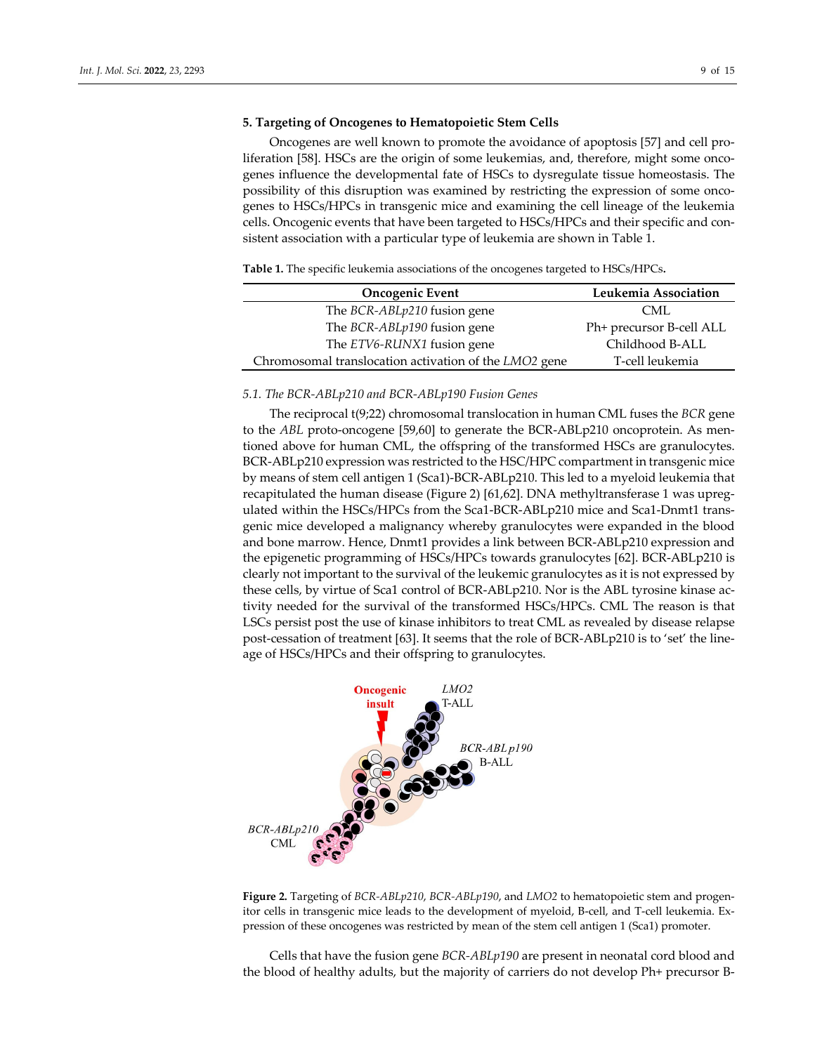#### **5. Targeting of Oncogenes to Hematopoietic Stem Cells**

Oncogenes are well known to promote the avoidance of apoptosis [57] and cell pro‐ liferation [58]. HSCs are the origin of some leukemias, and, therefore, might some oncogenes influence the developmental fate of HSCs to dysregulate tissue homeostasis. The possibility of this disruption was examined by restricting the expression of some oncogenes to HSCs/HPCs in transgenic mice and examining the cell lineage of the leukemia cells. Oncogenic events that have been targeted to HSCs/HPCs and their specific and consistent association with a particular type of leukemia are shown in Table 1.

**Table 1.** The specific leukemia associations of the oncogenes targeted to HSCs/HPCs**.**

| <b>Oncogenic Event</b>                                | Leukemia Association     |
|-------------------------------------------------------|--------------------------|
| The BCR-ABLp210 fusion gene                           | <b>CML</b>               |
| The BCR-ABLp190 fusion gene                           | Ph+ precursor B-cell ALL |
| The ETV6-RUNX1 fusion gene                            | Childhood B-ALL          |
| Chromosomal translocation activation of the LMO2 gene | T-cell leukemia          |

#### *5.1. The BCR‐ABLp210 and BCR‐ABLp190 Fusion Genes*

The reciprocal t(9;22) chromosomal translocation in human CML fuses the *BCR* gene to the *ABL* proto-oncogene [59,60] to generate the BCR-ABLp210 oncoprotein. As mentioned above for human CML, the offspring of the transformed HSCs are granulocytes. BCR-ABLp210 expression was restricted to the HSC/HPC compartment in transgenic mice by means of stem cell antigen 1 (Sca1)‐BCR‐ABLp210. This led to a myeloid leukemia that recapitulated the human disease (Figure 2) [61,62]. DNA methyltransferase 1 was upreg‐ ulated within the HSCs/HPCs from the Sca1‐BCR‐ABLp210 mice and Sca1‐Dnmt1 trans‐ genic mice developed a malignancy whereby granulocytes were expanded in the blood and bone marrow. Hence, Dnmt1 provides a link between BCR‐ABLp210 expression and the epigenetic programming of HSCs/HPCs towards granulocytes [62]. BCR‐ABLp210 is clearly not important to the survival of the leukemic granulocytes as it is not expressed by these cells, by virtue of Sca1 control of BCR-ABLp210. Nor is the ABL tyrosine kinase activity needed for the survival of the transformed HSCs/HPCs. CML The reason is that LSCs persist post the use of kinase inhibitors to treat CML as revealed by disease relapse post-cessation of treatment [63]. It seems that the role of BCR-ABLp210 is to 'set' the lineage of HSCs/HPCs and their offspring to granulocytes.



**Figure 2.** Targeting of *BCR‐ABLp210*, *BCR‐ABLp190*, and *LMO2* to hematopoietic stem and progen‐ itor cells in transgenic mice leads to the development of myeloid, B‐cell, and T‐cell leukemia. Ex‐ pression of these oncogenes was restricted by mean of the stem cell antigen 1 (Sca1) promoter.

Cells that have the fusion gene *BCR‐ABLp190* are present in neonatal cord blood and the blood of healthy adults, but the majority of carriers do not develop Ph+ precursor B‐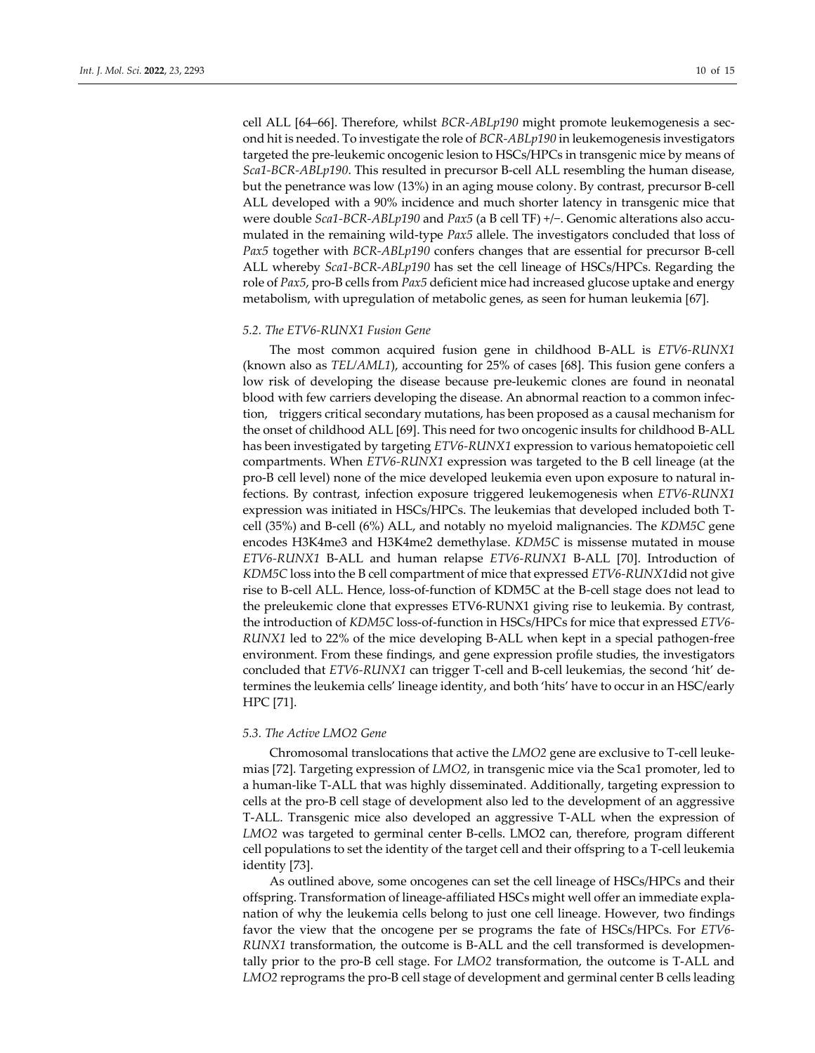cell ALL [64–66]. Therefore, whilst *BCR‐ABLp190* might promote leukemogenesis a sec‐ ond hit is needed. To investigate the role of *BCR‐ABLp190* in leukemogenesis investigators targeted the pre‐leukemic oncogenic lesion to HSCs/HPCs in transgenic mice by means of *Sca1‐BCR‐ABLp190*. This resulted in precursor B‐cell ALL resembling the human disease, but the penetrance was low (13%) in an aging mouse colony. By contrast, precursor B-cell ALL developed with a 90% incidence and much shorter latency in transgenic mice that were double *Sca1‐BCR‐ABLp190* and *Pax5* (a B cell TF) +/−. Genomic alterations also accu‐ mulated in the remaining wild‐type *Pax5* allele. The investigators concluded that loss of *Pax5* together with *BCR‐ABLp190* confers changes that are essential for precursor B‐cell ALL whereby *Sca1‐BCR‐ABLp190* has set the cell lineage of HSCs/HPCs. Regarding the role of *Pax5*, pro‐B cells from *Pax5* deficient mice had increased glucose uptake and energy metabolism, with upregulation of metabolic genes, as seen for human leukemia [67].

#### *5.2. The ETV6‐RUNX1 Fusion Gene*

The most common acquired fusion gene in childhood B‐ALL is *ETV6‐RUNX1* (known also as *TEL/AML1*), accounting for 25% of cases [68]. This fusion gene confers a low risk of developing the disease because pre‐leukemic clones are found in neonatal blood with few carriers developing the disease. An abnormal reaction to a common infection, triggers critical secondary mutations, has been proposed as a causal mechanism for the onset of childhood ALL [69]. This need for two oncogenic insults for childhood B‐ALL has been investigated by targeting *ETV6‐RUNX1* expression to various hematopoietic cell compartments. When *ETV6‐RUNX1* expression was targeted to the B cell lineage (at the pro‐B cell level) none of the mice developed leukemia even upon exposure to natural in‐ fections. By contrast, infection exposure triggered leukemogenesis when *ETV6‐RUNX1* expression was initiated in HSCs/HPCs. The leukemias that developed included both T‐ cell (35%) and B‐cell (6%) ALL, and notably no myeloid malignancies. The *KDM5C* gene encodes H3K4me3 and H3K4me2 demethylase. *KDM5C* is missense mutated in mouse *ETV6‐RUNX1* B‐ALL and human relapse *ETV6‐RUNX1* B‐ALL [70]. Introduction of *KDM5C* loss into the B cell compartment of mice that expressed *ETV6‐RUNX1*did not give rise to B‐cell ALL. Hence, loss‐of‐function of KDM5C at the B‐cell stage does not lead to the preleukemic clone that expresses ETV6‐RUNX1 giving rise to leukemia. By contrast, the introduction of *KDM5C* loss‐of‐function in HSCs/HPCs for mice that expressed *ETV6‐ RUNX1* led to 22% of the mice developing B-ALL when kept in a special pathogen-free environment. From these findings, and gene expression profile studies, the investigators concluded that *ETV6‐RUNX1* can trigger T‐cell and B‐cell leukemias, the second 'hit' de‐ termines the leukemia cells' lineage identity, and both 'hits' have to occur in an HSC/early HPC [71].

#### *5.3. The Active LMO2 Gene*

Chromosomal translocations that active the *LMO2* gene are exclusive to T‐cell leuke‐ mias [72]. Targeting expression of *LMO2*, in transgenic mice via the Sca1 promoter, led to a human‐like T‐ALL that was highly disseminated. Additionally, targeting expression to cells at the pro‐B cell stage of development also led to the development of an aggressive T‐ALL. Transgenic mice also developed an aggressive T‐ALL when the expression of LMO2 was targeted to germinal center B-cells. LMO2 can, therefore, program different cell populations to set the identity of the target cell and their offspring to a T‐cell leukemia identity [73].

As outlined above, some oncogenes can set the cell lineage of HSCs/HPCs and their offspring. Transformation of lineage‐affiliated HSCs might well offer an immediate expla‐ nation of why the leukemia cells belong to just one cell lineage. However, two findings favor the view that the oncogene per se programs the fate of HSCs/HPCs. For *ETV6‐ RUNX1* transformation, the outcome is B‐ALL and the cell transformed is developmen‐ tally prior to the pro‐B cell stage. For *LMO2* transformation, the outcome is T‐ALL and *LMO2* reprograms the pro‐B cell stage of development and germinal center B cells leading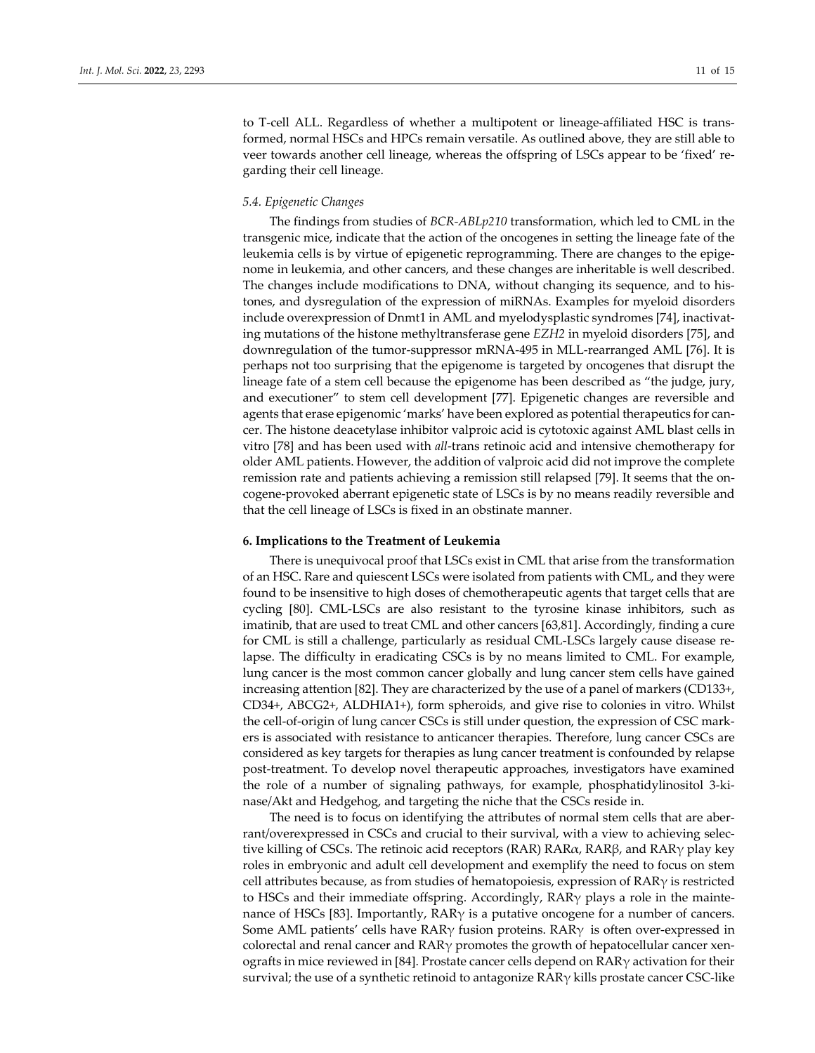to T-cell ALL. Regardless of whether a multipotent or lineage-affiliated HSC is transformed, normal HSCs and HPCs remain versatile. As outlined above, they are still able to veer towards another cell lineage, whereas the offspring of LSCs appear to be 'fixed' re‐ garding their cell lineage.

#### *5.4. Epigenetic Changes*

The findings from studies of *BCR‐ABLp210* transformation, which led to CML in the transgenic mice, indicate that the action of the oncogenes in setting the lineage fate of the leukemia cells is by virtue of epigenetic reprogramming. There are changes to the epigenome in leukemia, and other cancers, and these changes are inheritable is well described. The changes include modifications to DNA, without changing its sequence, and to his‐ tones, and dysregulation of the expression of miRNAs. Examples for myeloid disorders include overexpression of Dnmt1 in AML and myelodysplastic syndromes [74], inactivat‐ ing mutations of the histone methyltransferase gene *EZH2* in myeloid disorders [75], and downregulation of the tumor‐suppressor mRNA‐495 in MLL‐rearranged AML [76]. It is perhaps not too surprising that the epigenome is targeted by oncogenes that disrupt the lineage fate of a stem cell because the epigenome has been described as "the judge, jury, and executioner" to stem cell development [77]. Epigenetic changes are reversible and agents that erase epigenomic 'marks' have been explored as potential therapeutics for cancer. The histone deacetylase inhibitor valproic acid is cytotoxic against AML blast cells in vitro [78] and has been used with *all*‐trans retinoic acid and intensive chemotherapy for older AML patients. However, the addition of valproic acid did not improve the complete remission rate and patients achieving a remission still relapsed [79]. It seems that the on‐ cogene‐provoked aberrant epigenetic state of LSCs is by no means readily reversible and that the cell lineage of LSCs is fixed in an obstinate manner.

#### **6. Implications to the Treatment of Leukemia**

There is unequivocal proof that LSCs exist in CML that arise from the transformation of an HSC. Rare and quiescent LSCs were isolated from patients with CML, and they were found to be insensitive to high doses of chemotherapeutic agents that target cells that are cycling [80]. CML‐LSCs are also resistant to the tyrosine kinase inhibitors, such as imatinib, that are used to treat CML and other cancers [63,81]. Accordingly, finding a cure for CML is still a challenge, particularly as residual CML-LSCs largely cause disease relapse. The difficulty in eradicating CSCs is by no means limited to CML. For example, lung cancer is the most common cancer globally and lung cancer stem cells have gained increasing attention [82]. They are characterized by the use of a panel of markers (CD133+, CD34+, ABCG2+, ALDHIA1+), form spheroids, and give rise to colonies in vitro. Whilst the cell-of-origin of lung cancer CSCs is still under question, the expression of CSC markers is associated with resistance to anticancer therapies. Therefore, lung cancer CSCs are considered as key targets for therapies as lung cancer treatment is confounded by relapse post-treatment. To develop novel therapeutic approaches, investigators have examined the role of a number of signaling pathways, for example, phosphatidylinositol 3‐ki‐ nase/Akt and Hedgehog, and targeting the niche that the CSCs reside in.

The need is to focus on identifying the attributes of normal stem cells that are aber‐ rant/overexpressed in CSCs and crucial to their survival, with a view to achieving selec‐ tive killing of CSCs. The retinoic acid receptors (RAR) RAR $\alpha$ , RAR $\beta$ , and RAR $\gamma$  play key roles in embryonic and adult cell development and exemplify the need to focus on stem cell attributes because, as from studies of hematopoiesis, expression of  $RAR\gamma$  is restricted to HSCs and their immediate offspring. Accordingly, RARγ plays a role in the maintenance of HSCs [83]. Importantly,  $RAR\gamma$  is a putative oncogene for a number of cancers. Some AML patients' cells have  $RAR<sub>Y</sub>$  fusion proteins.  $RAR<sub>Y</sub>$  is often over-expressed in colorectal and renal cancer and  $RAR\gamma$  promotes the growth of hepatocellular cancer xenografts in mice reviewed in [84]. Prostate cancer cells depend on  $RAR\gamma$  activation for their survival; the use of a synthetic retinoid to antagonize  $RAR\gamma$  kills prostate cancer CSC-like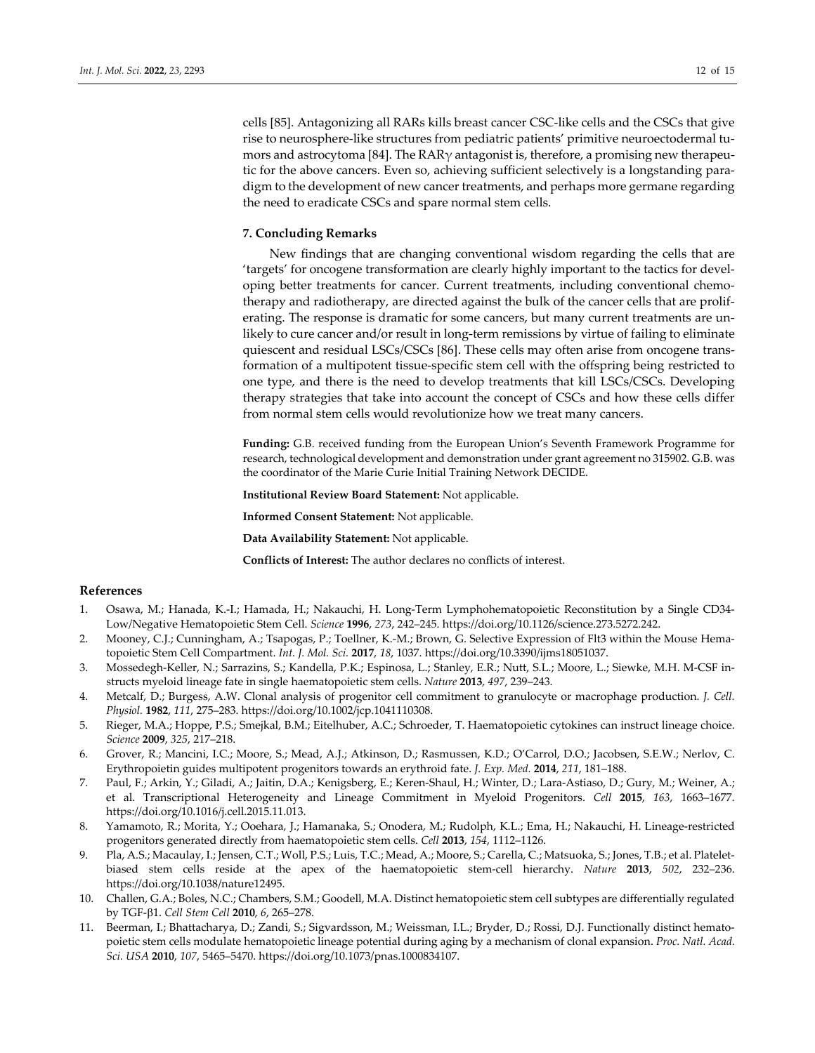#### **7. Concluding Remarks**

New findings that are changing conventional wisdom regarding the cells that are 'targets' for oncogene transformation are clearly highly important to the tactics for devel‐ oping better treatments for cancer. Current treatments, including conventional chemo‐ therapy and radiotherapy, are directed against the bulk of the cancer cells that are prolif‐ erating. The response is dramatic for some cancers, but many current treatments are un‐ likely to cure cancer and/or result in long-term remissions by virtue of failing to eliminate quiescent and residual LSCs/CSCs [86]. These cells may often arise from oncogene trans‐ formation of a multipotent tissue‐specific stem cell with the offspring being restricted to one type, and there is the need to develop treatments that kill LSCs/CSCs. Developing therapy strategies that take into account the concept of CSCs and how these cells differ from normal stem cells would revolutionize how we treat many cancers.

**Funding:** G.B. received funding from the European Union's Seventh Framework Programme for research, technological development and demonstration under grant agreement no 315902. G.B. was the coordinator of the Marie Curie Initial Training Network DECIDE.

**Institutional Review Board Statement:** Not applicable.

**Informed Consent Statement:** Not applicable.

**Data Availability Statement:** Not applicable.

**Conflicts of Interest:** The author declares no conflicts of interest.

#### **References**

- 1. Osawa, M.; Hanada, K.‐I.; Hamada, H.; Nakauchi, H. Long‐Term Lymphohematopoietic Reconstitution by a Single CD34‐ Low/Negative Hematopoietic Stem Cell. *Science* **1996**, *273*, 242–245. https://doi.org/10.1126/science.273.5272.242.
- 2. Mooney, C.J.; Cunningham, A.; Tsapogas, P.; Toellner, K.-M.; Brown, G. Selective Expression of Flt3 within the Mouse Hematopoietic Stem Cell Compartment. *Int. J. Mol. Sci.* **2017**, *18*, 1037. https://doi.org/10.3390/ijms18051037.
- 3. Mossedegh‐Keller, N.; Sarrazins, S.; Kandella, P.K.; Espinosa, L.; Stanley, E.R.; Nutt, S.L.; Moore, L.; Siewke, M.H. M‐CSF in‐ structs myeloid lineage fate in single haematopoietic stem cells. *Nature* **2013**, *497*, 239–243.
- 4. Metcalf, D.; Burgess, A.W. Clonal analysis of progenitor cell commitment to granulocyte or macrophage production. *J. Cell. Physiol.* **1982**, *111*, 275–283. https://doi.org/10.1002/jcp.1041110308.
- 5. Rieger, M.A.; Hoppe, P.S.; Smejkal, B.M.; Eitelhuber, A.C.; Schroeder, T. Haematopoietic cytokines can instruct lineage choice. *Science* **2009**, *325*, 217–218.
- 6. Grover, R.; Mancini, I.C.; Moore, S.; Mead, A.J.; Atkinson, D.; Rasmussen, K.D.; O'Carrol, D.O.; Jacobsen, S.E.W.; Nerlov, C. Erythropoietin guides multipotent progenitors towards an erythroid fate. *J. Exp. Med.* **2014**, *211*, 181–188.
- 7. Paul, F.; Arkin, Y.; Giladi, A.; Jaitin, D.A.; Kenigsberg, E.; Keren‐Shaul, H.; Winter, D.; Lara‐Astiaso, D.; Gury, M.; Weiner, A.; et al. Transcriptional Heterogeneity and Lineage Commitment in Myeloid Progenitors. *Cell* **2015**, *163*, 1663–1677. https://doi.org/10.1016/j.cell.2015.11.013.
- 8. Yamamoto, R.; Morita, Y.; Ooehara, J.; Hamanaka, S.; Onodera, M.; Rudolph, K.L.; Ema, H.; Nakauchi, H. Lineage-restricted progenitors generated directly from haematopoietic stem cells. *Cell* **2013**, *154*, 1112–1126.
- 9. Pla, A.S.; Macaulay, I.; Jensen, C.T.; Woll, P.S.; Luis, T.C.; Mead, A.; Moore, S.; Carella, C.; Matsuoka, S.; Jones, T.B.; et al. Platelet‐ biased stem cells reside at the apex of the haematopoietic stem‐cell hierarchy. *Nature* **2013**, *502*, 232–236. https://doi.org/10.1038/nature12495.
- 10. Challen, G.A.; Boles, N.C.; Chambers, S.M.; Goodell, M.A. Distinct hematopoietic stem cell subtypes are differentially regulated by TGF‐1. *Cell Stem Cell* **2010**, *6*, 265–278.
- 11. Beerman, I.; Bhattacharya, D.; Zandi, S.; Sigvardsson, M.; Weissman, I.L.; Bryder, D.; Rossi, D.J. Functionally distinct hemato‐ poietic stem cells modulate hematopoietic lineage potential during aging by a mechanism of clonal expansion. *Proc. Natl. Acad. Sci. USA* **2010**, *107*, 5465–5470. https://doi.org/10.1073/pnas.1000834107.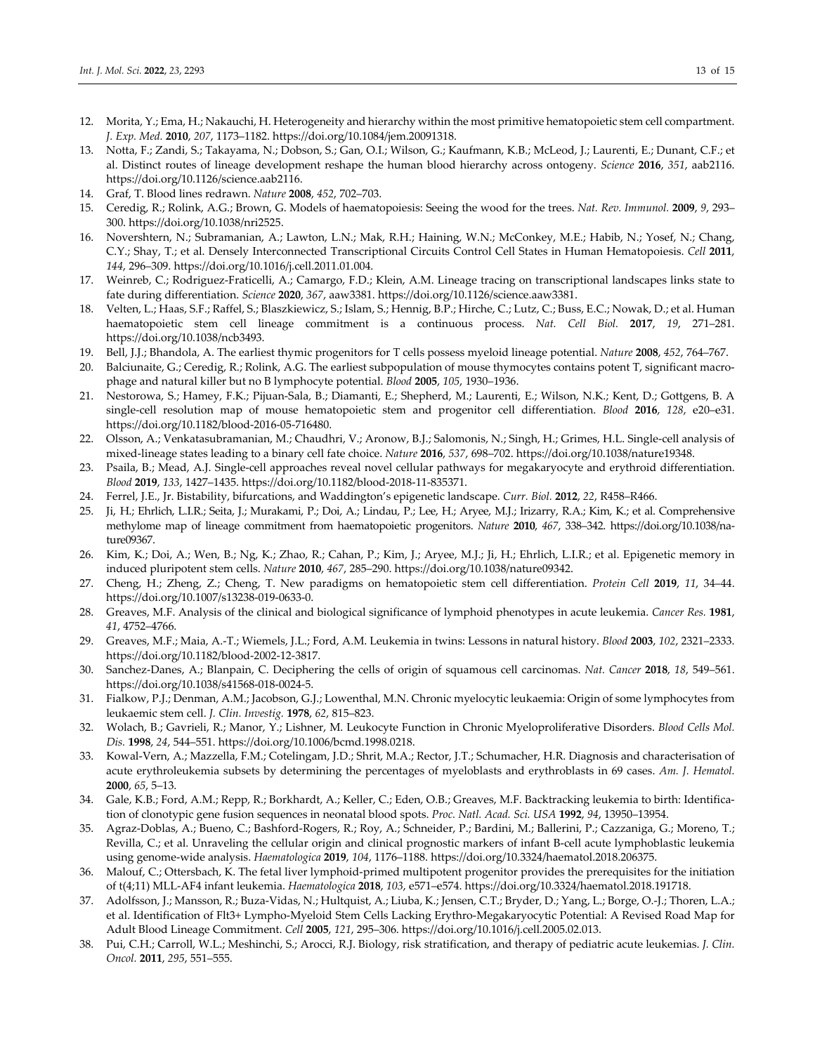- 12. Morita, Y.; Ema, H.; Nakauchi, H. Heterogeneity and hierarchy within the most primitive hematopoietic stem cell compartment. *J. Exp. Med.* **2010**, *207*, 1173–1182. https://doi.org/10.1084/jem.20091318.
- 13. Notta, F.; Zandi, S.; Takayama, N.; Dobson, S.; Gan, O.I.; Wilson, G.; Kaufmann, K.B.; McLeod, J.; Laurenti, E.; Dunant, C.F.; et al. Distinct routes of lineage development reshape the human blood hierarchy across ontogeny. *Science* **2016**, *351*, aab2116. https://doi.org/10.1126/science.aab2116.
- 14. Graf, T. Blood lines redrawn. *Nature* **2008**, *452*, 702–703.
- 15. Ceredig, R.; Rolink, A.G.; Brown, G. Models of haematopoiesis: Seeing the wood for the trees. *Nat. Rev. Immunol.* **2009**, *9*, 293– 300. https://doi.org/10.1038/nri2525.
- 16. Novershtern, N.; Subramanian, A.; Lawton, L.N.; Mak, R.H.; Haining, W.N.; McConkey, M.E.; Habib, N.; Yosef, N.; Chang, C.Y.; Shay, T.; et al. Densely Interconnected Transcriptional Circuits Control Cell States in Human Hematopoiesis. *Cell* **2011**, *144*, 296–309. https://doi.org/10.1016/j.cell.2011.01.004.
- 17. Weinreb, C.; Rodriguez‐Fraticelli, A.; Camargo, F.D.; Klein, A.M. Lineage tracing on transcriptional landscapes links state to fate during differentiation. *Science* **2020**, *367*, aaw3381. https://doi.org/10.1126/science.aaw3381.
- 18. Velten, L.; Haas, S.F.; Raffel, S.; Blaszkiewicz, S.; Islam, S.; Hennig, B.P.; Hirche, C.; Lutz, C.; Buss, E.C.; Nowak, D.; et al. Human haematopoietic stem cell lineage commitment is a continuous process. *Nat. Cell Biol.* **2017**, *19*, 271–281. https://doi.org/10.1038/ncb3493.
- 19. Bell, J.J.; Bhandola, A. The earliest thymic progenitors for T cells possess myeloid lineage potential. *Nature* **2008**, *452*, 764–767.
- 20. Balciunaite, G.; Ceredig, R.; Rolink, A.G. The earliest subpopulation of mouse thymocytes contains potent T, significant macrophage and natural killer but no B lymphocyte potential. *Blood* **2005**, *105*, 1930–1936.
- 21. Nestorowa, S.; Hamey, F.K.; Pijuan‐Sala, B.; Diamanti, E.; Shepherd, M.; Laurenti, E.; Wilson, N.K.; Kent, D.; Gottgens, B. A single‐cell resolution map of mouse hematopoietic stem and progenitor cell differentiation. *Blood* **2016**, *128*, e20–e31. https://doi.org/10.1182/blood‐2016‐05‐716480.
- 22. Olsson, A.; Venkatasubramanian, M.; Chaudhri, V.; Aronow, B.J.; Salomonis, N.; Singh, H.; Grimes, H.L. Single-cell analysis of mixed‐lineage states leading to a binary cell fate choice. *Nature* **2016**, *537*, 698–702. https://doi.org/10.1038/nature19348.
- 23. Psaila, B.; Mead, A.J. Single‐cell approaches reveal novel cellular pathways for megakaryocyte and erythroid differentiation. *Blood* **2019**, *133*, 1427–1435. https://doi.org/10.1182/blood‐2018‐11‐835371.
- 24. Ferrel, J.E., Jr. Bistability, bifurcations, and Waddington's epigenetic landscape. *Curr. Biol.* **2012**, *22*, R458–R466.
- 25. Ji, H.; Ehrlich, L.I.R.; Seita, J.; Murakami, P.; Doi, A.; Lindau, P.; Lee, H.; Aryee, M.J.; Irizarry, R.A.; Kim, K.; et al. Comprehensive methylome map of lineage commitment from haematopoietic progenitors. *Nature* **2010**, *467*, 338–342. https://doi.org/10.1038/na‐ ture09367.
- 26. Kim, K.; Doi, A.; Wen, B.; Ng, K.; Zhao, R.; Cahan, P.; Kim, J.; Aryee, M.J.; Ji, H.; Ehrlich, L.I.R.; et al. Epigenetic memory in induced pluripotent stem cells. *Nature* **2010**, *467*, 285–290. https://doi.org/10.1038/nature09342.
- 27. Cheng, H.; Zheng, Z.; Cheng, T. New paradigms on hematopoietic stem cell differentiation. *Protein Cell* **2019**, *11*, 34–44. https://doi.org/10.1007/s13238‐019‐0633‐0.
- 28. Greaves, M.F. Analysis of the clinical and biological significance of lymphoid phenotypes in acute leukemia. *Cancer Res.* **1981**, *41*, 4752–4766.
- 29. Greaves, M.F.; Maia, A.‐T.; Wiemels, J.L.; Ford, A.M. Leukemia in twins: Lessons in natural history. *Blood* **2003**, *102*, 2321–2333. https://doi.org/10.1182/blood‐2002‐12‐3817.
- 30. Sanchez‐Danes, A.; Blanpain, C. Deciphering the cells of origin of squamous cell carcinomas. *Nat. Cancer* **2018**, *18*, 549–561. https://doi.org/10.1038/s41568‐018‐0024‐5.
- 31. Fialkow, P.J.; Denman, A.M.; Jacobson, G.J.; Lowenthal, M.N. Chronic myelocytic leukaemia: Origin of some lymphocytes from leukaemic stem cell. *J. Clin. Investig.* **1978**, *62*, 815–823.
- 32. Wolach, B.; Gavrieli, R.; Manor, Y.; Lishner, M. Leukocyte Function in Chronic Myeloproliferative Disorders. *Blood Cells Mol. Dis.* **1998**, *24*, 544–551. https://doi.org/10.1006/bcmd.1998.0218.
- 33. Kowal‐Vern, A.; Mazzella, F.M.; Cotelingam, J.D.; Shrit, M.A.; Rector, J.T.; Schumacher, H.R. Diagnosis and characterisation of acute erythroleukemia subsets by determining the percentages of myeloblasts and erythroblasts in 69 cases. *Am. J. Hematol.* **2000**, *65*, 5–13.
- 34. Gale, K.B.; Ford, A.M.; Repp, R.; Borkhardt, A.; Keller, C.; Eden, O.B.; Greaves, M.F. Backtracking leukemia to birth: Identifica‐ tion of clonotypic gene fusion sequences in neonatal blood spots. *Proc. Natl. Acad. Sci. USA* **1992**, *94*, 13950–13954.
- 35. Agraz‐Doblas, A.; Bueno, C.; Bashford‐Rogers, R.; Roy, A.; Schneider, P.; Bardini, M.; Ballerini, P.; Cazzaniga, G.; Moreno, T.; Revilla, C.; et al. Unraveling the cellular origin and clinical prognostic markers of infant B‐cell acute lymphoblastic leukemia using genome‐wide analysis. *Haematologica* **2019**, *104*, 1176–1188. https://doi.org/10.3324/haematol.2018.206375.
- 36. Malouf, C.; Ottersbach, K. The fetal liver lymphoid‐primed multipotent progenitor provides the prerequisites for the initiation of t(4;11) MLL‐AF4 infant leukemia. *Haematologica* **2018**, *103*, e571–e574. https://doi.org/10.3324/haematol.2018.191718.
- 37. Adolfsson, J.; Mansson, R.; Buza‐Vidas, N.; Hultquist, A.; Liuba, K.; Jensen, C.T.; Bryder, D.; Yang, L.; Borge, O.‐J.; Thoren, L.A.; et al. Identification of Flt3+ Lympho‐Myeloid Stem Cells Lacking Erythro‐Megakaryocytic Potential: A Revised Road Map for Adult Blood Lineage Commitment. *Cell* **2005**, *121*, 295–306. https://doi.org/10.1016/j.cell.2005.02.013.
- 38. Pui, C.H.; Carroll, W.L.; Meshinchi, S.; Arocci, R.J. Biology, risk stratification, and therapy of pediatric acute leukemias. *J. Clin. Oncol.* **2011**, *295*, 551–555.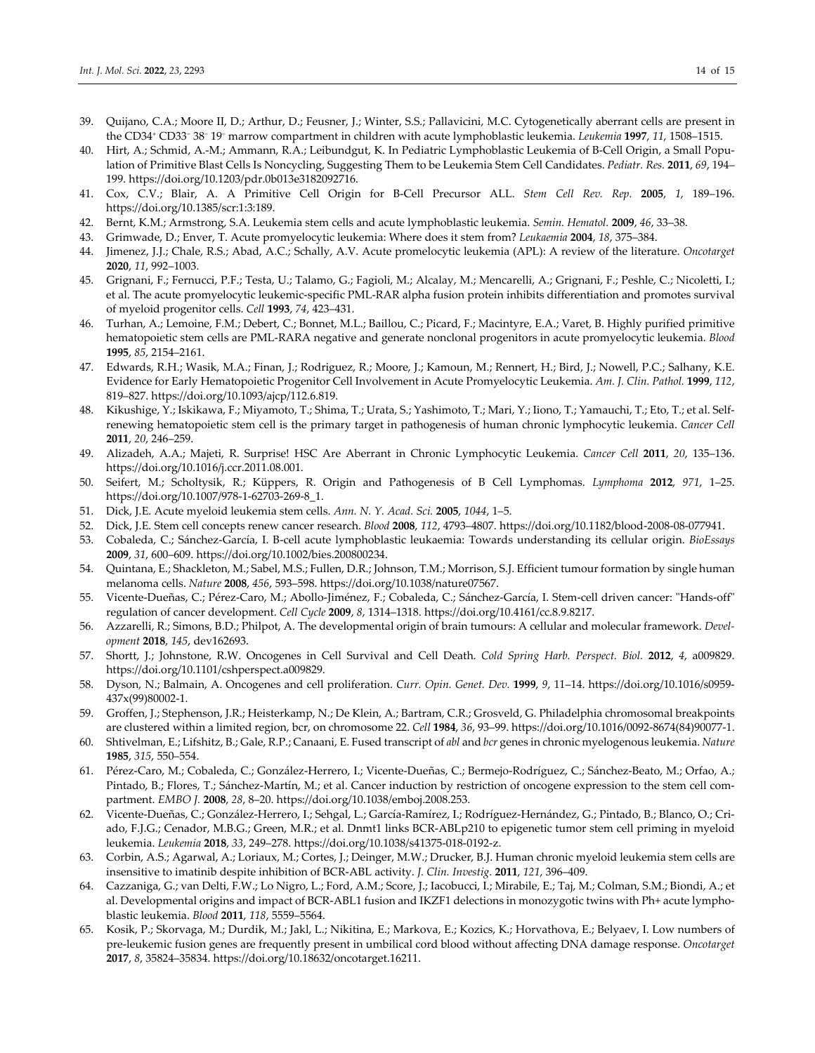- 39. Quijano, C.A.; Moore II, D.; Arthur, D.; Feusner, J.; Winter, S.S.; Pallavicini, M.C. Cytogenetically aberrant cells are present in the CD34+ CD33<sup>−</sup> 38<sup>−</sup> 19<sup>−</sup> marrow compartment in children with acute lymphoblastic leukemia. *Leukemia* **1997**, *11*, 1508–1515.
- 40. Hirt, A.; Schmid, A.-M.; Ammann, R.A.; Leibundgut, K. In Pediatric Lymphoblastic Leukemia of B-Cell Origin, a Small Population of Primitive Blast Cells Is Noncycling, Suggesting Them to be Leukemia Stem Cell Candidates. *Pediatr. Res.* **2011**, *69*, 194– 199. https://doi.org/10.1203/pdr.0b013e3182092716.
- 41. Cox, C.V.; Blair, A. A Primitive Cell Origin for B‐Cell Precursor ALL. *Stem Cell Rev. Rep.* **2005**, *1*, 189–196. https://doi.org/10.1385/scr:1:3:189.
- 42. Bernt, K.M.; Armstrong, S.A. Leukemia stem cells and acute lymphoblastic leukemia. *Semin. Hematol.* **2009**, *46*, 33–38.
- 43. Grimwade, D.; Enver, T. Acute promyelocytic leukemia: Where does it stem from? *Leukaemia* **2004**, *18*, 375–384.
- 44. Jimenez, J.J.; Chale, R.S.; Abad, A.C.; Schally, A.V. Acute promelocytic leukemia (APL): A review of the literature. *Oncotarget* **2020**, *11*, 992–1003.
- 45. Grignani, F.; Fernucci, P.F.; Testa, U.; Talamo, G.; Fagioli, M.; Alcalay, M.; Mencarelli, A.; Grignani, F.; Peshle, C.; Nicoletti, I.; et al. The acute promyelocytic leukemic‐specific PML‐RAR alpha fusion protein inhibits differentiation and promotes survival of myeloid progenitor cells. *Cell* **1993**, *74*, 423–431.
- 46. Turhan, A.; Lemoine, F.M.; Debert, C.; Bonnet, M.L.; Baillou, C.; Picard, F.; Macintyre, E.A.; Varet, B. Highly purified primitive hematopoietic stem cells are PML‐RARA negative and generate nonclonal progenitors in acute promyelocytic leukemia. *Blood* **1995**, *85*, 2154–2161.
- 47. Edwards, R.H.; Wasik, M.A.; Finan, J.; Rodriguez, R.; Moore, J.; Kamoun, M.; Rennert, H.; Bird, J.; Nowell, P.C.; Salhany, K.E. Evidence for Early Hematopoietic Progenitor Cell Involvement in Acute Promyelocytic Leukemia. *Am. J. Clin. Pathol.* **1999**, *112*, 819–827. https://doi.org/10.1093/ajcp/112.6.819.
- 48. Kikushige, Y.; Iskikawa, F.; Miyamoto, T.; Shima, T.; Urata, S.; Yashimoto, T.; Mari, Y.; Iiono, T.; Yamauchi, T.; Eto, T.; et al. Self‐ renewing hematopoietic stem cell is the primary target in pathogenesis of human chronic lymphocytic leukemia. *Cancer Cell* **2011**, *20*, 246–259.
- 49. Alizadeh, A.A.; Majeti, R. Surprise! HSC Are Aberrant in Chronic Lymphocytic Leukemia. *Cancer Cell* **2011**, *20*, 135–136. https://doi.org/10.1016/j.ccr.2011.08.001.
- 50. Seifert, M.; Scholtysik, R.; Küppers, R. Origin and Pathogenesis of B Cell Lymphomas. *Lymphoma* **2012**, *971*, 1–25. https://doi.org/10.1007/978‐1‐62703‐269‐8\_1.
- 51. Dick, J.E. Acute myeloid leukemia stem cells. *Ann. N. Y. Acad. Sci.* **2005**, *1044*, 1–5.
- 52. Dick, J.E. Stem cell concepts renew cancer research. *Blood* **2008**, *112*, 4793–4807. https://doi.org/10.1182/blood‐2008‐08‐077941.
- 53. Cobaleda, C.; Sánchez‐García, I. B‐cell acute lymphoblastic leukaemia: Towards understanding its cellular origin. *BioEssays* **2009**, *31*, 600–609. https://doi.org/10.1002/bies.200800234.
- 54. Quintana, E.; Shackleton, M.; Sabel, M.S.; Fullen, D.R.; Johnson, T.M.; Morrison, S.J. Efficient tumour formation by single human melanoma cells. *Nature* **2008**, *456*, 593–598. https://doi.org/10.1038/nature07567.
- 55. Vicente-Dueñas, C.; Pérez-Caro, M.; Abollo-Jiménez, F.; Cobaleda, C.; Sánchez-García, I. Stem-cell driven cancer: "Hands-off" regulation of cancer development. *Cell Cycle* **2009**, *8*, 1314–1318. https://doi.org/10.4161/cc.8.9.8217.
- 56. Azzarelli, R.; Simons, B.D.; Philpot, A. The developmental origin of brain tumours: A cellular and molecular framework. *Devel‐ opment* **2018**, *145*, dev162693.
- 57. Shortt, J.; Johnstone, R.W. Oncogenes in Cell Survival and Cell Death. *Cold Spring Harb. Perspect. Biol.* **2012**, *4*, a009829. https://doi.org/10.1101/cshperspect.a009829.
- 58. Dyson, N.; Balmain, A. Oncogenes and cell proliferation. *Curr. Opin. Genet. Dev.* **1999**, *9*, 11–14. https://doi.org/10.1016/s0959‐ 437x(99)80002‐1.
- 59. Groffen, J.; Stephenson, J.R.; Heisterkamp, N.; De Klein, A.; Bartram, C.R.; Grosveld, G. Philadelphia chromosomal breakpoints are clustered within a limited region, bcr, on chromosome 22. *Cell* **1984**, *36*, 93–99. https://doi.org/10.1016/0092‐8674(84)90077‐1.
- 60. Shtivelman, E.; Lifshitz, B.; Gale, R.P.; Canaani, E. Fused transcript of *abl* and *bcr* genes in chronic myelogenous leukemia. *Nature* **1985**, *315*, 550–554.
- 61. Pérez‐Caro, M.; Cobaleda, C.; González‐Herrero, I.; Vicente‐Dueñas, C.; Bermejo‐Rodríguez, C.; Sánchez‐Beato, M.; Orfao, A.; Pintado, B.; Flores, T.; Sánchez-Martín, M.; et al. Cancer induction by restriction of oncogene expression to the stem cell compartment. *EMBO J.* **2008**, *28*, 8–20. https://doi.org/10.1038/emboj.2008.253.
- 62. Vicente-Dueñas, C.; González-Herrero, I.; Sehgal, L.; García-Ramírez, I.; Rodríguez-Hernández, G.; Pintado, B.; Blanco, O.; Criado, F.J.G.; Cenador, M.B.G.; Green, M.R.; et al. Dnmt1 links BCR‐ABLp210 to epigenetic tumor stem cell priming in myeloid leukemia. *Leukemia* **2018**, *33*, 249–278. https://doi.org/10.1038/s41375‐018‐0192‐z.
- 63. Corbin, A.S.; Agarwal, A.; Loriaux, M.; Cortes, J.; Deinger, M.W.; Drucker, B.J. Human chronic myeloid leukemia stem cells are insensitive to imatinib despite inhibition of BCR‐ABL activity. *J. Clin. Investig.* **2011**, *121*, 396–409.
- 64. Cazzaniga, G.; van Delti, F.W.; Lo Nigro, L.; Ford, A.M.; Score, J.; Iacobucci, I.; Mirabile, E.; Taj, M.; Colman, S.M.; Biondi, A.; et al. Developmental origins and impact of BCR‐ABL1 fusion and IKZF1 delections in monozygotic twins with Ph+ acute lympho‐ blastic leukemia. *Blood* **2011**, *118*, 5559–5564.
- 65. Kosik, P.; Skorvaga, M.; Durdik, M.; Jakl, L.; Nikitina, E.; Markova, E.; Kozics, K.; Horvathova, E.; Belyaev, I. Low numbers of pre‐leukemic fusion genes are frequently present in umbilical cord blood without affecting DNA damage response. *Oncotarget* **2017**, *8*, 35824–35834. https://doi.org/10.18632/oncotarget.16211.